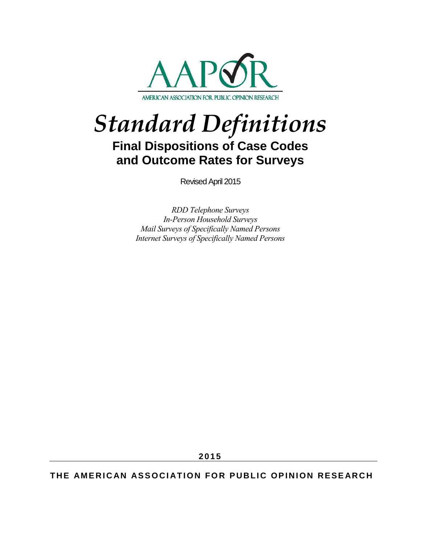

# *Standard Definitions* **Final Dispositions of Case Codes**

**and Outcome Rates for Surveys**

Revised April 2015

*RDD Telephone Surveys In-Person Household Surveys Mail Surveys of Specifically Named Persons Internet Surveys of Specifically Named Persons* 

**2 0 1 5**

**THE AMERICAN ASSOCIATION FOR PUBLIC OPINION RESEARCH**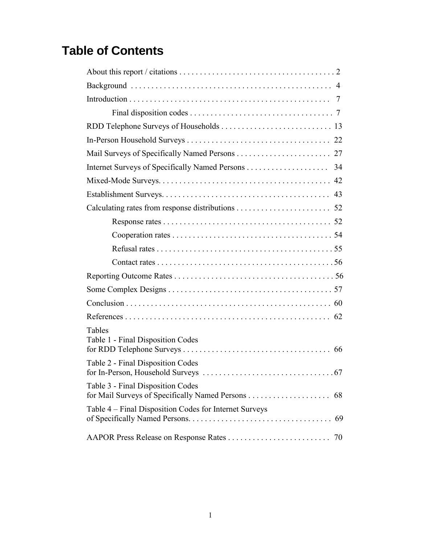# **Table of Contents**

| Tables<br>Table 1 - Final Disposition Codes                  |
|--------------------------------------------------------------|
|                                                              |
| Table 2 - Final Disposition Codes                            |
| Table 3 - Final Disposition Codes<br>68                      |
| Table 4 – Final Disposition Codes for Internet Surveys<br>69 |
| 70                                                           |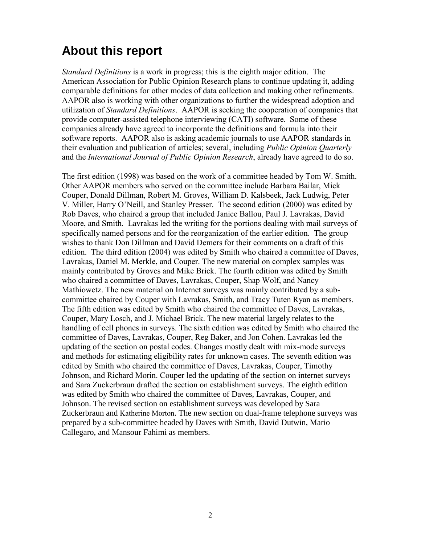# **About this report**

*Standard Definitions* is a work in progress; this is the eighth major edition. The American Association for Public Opinion Research plans to continue updating it, adding comparable definitions for other modes of data collection and making other refinements. AAPOR also is working with other organizations to further the widespread adoption and utilization of *Standard Definitions*. AAPOR is seeking the cooperation of companies that provide computer-assisted telephone interviewing (CATI) software. Some of these companies already have agreed to incorporate the definitions and formula into their software reports. AAPOR also is asking academic journals to use AAPOR standards in their evaluation and publication of articles; several, including *Public Opinion Quarterly*  and the *International Journal of Public Opinion Research*, already have agreed to do so.

The first edition (1998) was based on the work of a committee headed by Tom W. Smith. Other AAPOR members who served on the committee include Barbara Bailar, Mick Couper, Donald Dillman, Robert M. Groves, William D. Kalsbeek, Jack Ludwig, Peter V. Miller, Harry O'Neill, and Stanley Presser. The second edition (2000) was edited by Rob Daves, who chaired a group that included Janice Ballou, Paul J. Lavrakas, David Moore, and Smith. Lavrakas led the writing for the portions dealing with mail surveys of specifically named persons and for the reorganization of the earlier edition. The group wishes to thank Don Dillman and David Demers for their comments on a draft of this edition. The third edition (2004) was edited by Smith who chaired a committee of Daves, Lavrakas, Daniel M. Merkle, and Couper. The new material on complex samples was mainly contributed by Groves and Mike Brick. The fourth edition was edited by Smith who chaired a committee of Daves, Lavrakas, Couper, Shap Wolf, and Nancy Mathiowetz. The new material on Internet surveys was mainly contributed by a subcommittee chaired by Couper with Lavrakas, Smith, and Tracy Tuten Ryan as members. The fifth edition was edited by Smith who chaired the committee of Daves, Lavrakas, Couper, Mary Losch, and J. Michael Brick. The new material largely relates to the handling of cell phones in surveys. The sixth edition was edited by Smith who chaired the committee of Daves, Lavrakas, Couper, Reg Baker, and Jon Cohen. Lavrakas led the updating of the section on postal codes. Changes mostly dealt with mix-mode surveys and methods for estimating eligibility rates for unknown cases. The seventh edition was edited by Smith who chaired the committee of Daves, Lavrakas, Couper, Timothy Johnson, and Richard Morin. Couper led the updating of the section on internet surveys and Sara Zuckerbraun drafted the section on establishment surveys. The eighth edition was edited by Smith who chaired the committee of Daves, Lavrakas, Couper, and Johnson. The revised section on establishment surveys was developed by Sara Zuckerbraun and Katherine Morton. The new section on dual-frame telephone surveys was prepared by a sub-committee headed by Daves with Smith, David Dutwin, Mario Callegaro, and Mansour Fahimi as members.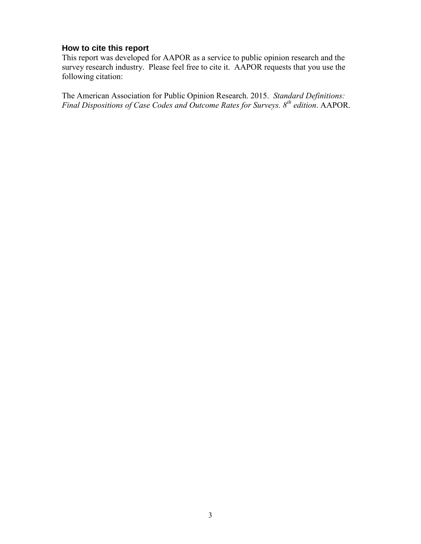### **How to cite this report**

This report was developed for AAPOR as a service to public opinion research and the survey research industry. Please feel free to cite it. AAPOR requests that you use the following citation:

The American Association for Public Opinion Research. 2015. *Standard Definitions: Final Dispositions of Case Codes and Outcome Rates for Surveys. 8 th edition*. AAPOR.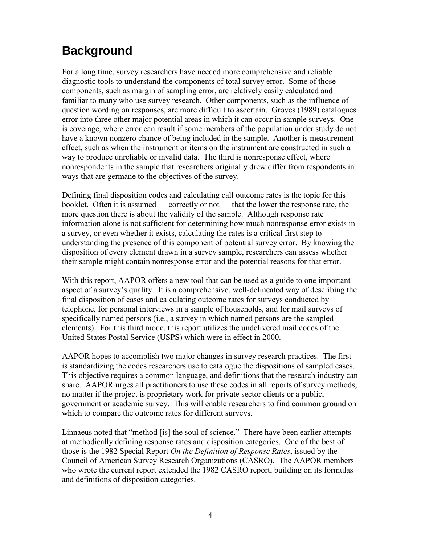# **Background**

For a long time, survey researchers have needed more comprehensive and reliable diagnostic tools to understand the components of total survey error. Some of those components, such as margin of sampling error, are relatively easily calculated and familiar to many who use survey research. Other components, such as the influence of question wording on responses, are more difficult to ascertain. Groves (1989) catalogues error into three other major potential areas in which it can occur in sample surveys. One is coverage, where error can result if some members of the population under study do not have a known nonzero chance of being included in the sample. Another is measurement effect, such as when the instrument or items on the instrument are constructed in such a way to produce unreliable or invalid data. The third is nonresponse effect, where nonrespondents in the sample that researchers originally drew differ from respondents in ways that are germane to the objectives of the survey.

Defining final disposition codes and calculating call outcome rates is the topic for this booklet. Often it is assumed — correctly or not — that the lower the response rate, the more question there is about the validity of the sample. Although response rate information alone is not sufficient for determining how much nonresponse error exists in a survey, or even whether it exists, calculating the rates is a critical first step to understanding the presence of this component of potential survey error. By knowing the disposition of every element drawn in a survey sample, researchers can assess whether their sample might contain nonresponse error and the potential reasons for that error.

With this report, AAPOR offers a new tool that can be used as a guide to one important aspect of a survey's quality. It is a comprehensive, well-delineated way of describing the final disposition of cases and calculating outcome rates for surveys conducted by telephone, for personal interviews in a sample of households, and for mail surveys of specifically named persons (i.e., a survey in which named persons are the sampled elements). For this third mode, this report utilizes the undelivered mail codes of the United States Postal Service (USPS) which were in effect in 2000.

AAPOR hopes to accomplish two major changes in survey research practices. The first is standardizing the codes researchers use to catalogue the dispositions of sampled cases. This objective requires a common language, and definitions that the research industry can share. AAPOR urges all practitioners to use these codes in all reports of survey methods, no matter if the project is proprietary work for private sector clients or a public, government or academic survey. This will enable researchers to find common ground on which to compare the outcome rates for different surveys.

Linnaeus noted that "method [is] the soul of science." There have been earlier attempts at methodically defining response rates and disposition categories. One of the best of those is the 1982 Special Report *On the Definition of Response Rates*, issued by the Council of American Survey Research Organizations (CASRO). The AAPOR members who wrote the current report extended the 1982 CASRO report, building on its formulas and definitions of disposition categories.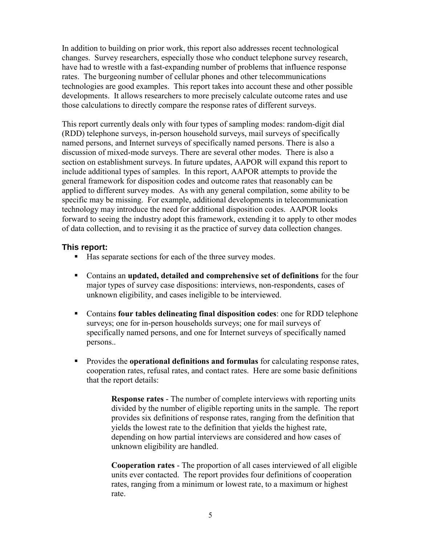In addition to building on prior work, this report also addresses recent technological changes. Survey researchers, especially those who conduct telephone survey research, have had to wrestle with a fast-expanding number of problems that influence response rates. The burgeoning number of cellular phones and other telecommunications technologies are good examples. This report takes into account these and other possible developments. It allows researchers to more precisely calculate outcome rates and use those calculations to directly compare the response rates of different surveys.

This report currently deals only with four types of sampling modes: random-digit dial (RDD) telephone surveys, in-person household surveys, mail surveys of specifically named persons, and Internet surveys of specifically named persons. There is also a discussion of mixed-mode surveys. There are several other modes. There is also a section on establishment surveys. In future updates, AAPOR will expand this report to include additional types of samples. In this report, AAPOR attempts to provide the general framework for disposition codes and outcome rates that reasonably can be applied to different survey modes. As with any general compilation, some ability to be specific may be missing. For example, additional developments in telecommunication technology may introduce the need for additional disposition codes. AAPOR looks forward to seeing the industry adopt this framework, extending it to apply to other modes of data collection, and to revising it as the practice of survey data collection changes.

### **This report:**

- Has separate sections for each of the three survey modes.
- Contains an **updated, detailed and comprehensive set of definitions** for the four major types of survey case dispositions: interviews, non-respondents, cases of unknown eligibility, and cases ineligible to be interviewed.
- Contains **four tables delineating final disposition codes**: one for RDD telephone surveys; one for in-person households surveys; one for mail surveys of specifically named persons, and one for Internet surveys of specifically named persons..
- **Provides the operational definitions and formulas** for calculating response rates, cooperation rates, refusal rates, and contact rates. Here are some basic definitions that the report details:

**Response rates** - The number of complete interviews with reporting units divided by the number of eligible reporting units in the sample. The report provides six definitions of response rates, ranging from the definition that yields the lowest rate to the definition that yields the highest rate, depending on how partial interviews are considered and how cases of unknown eligibility are handled.

**Cooperation rates** - The proportion of all cases interviewed of all eligible units ever contacted. The report provides four definitions of cooperation rates, ranging from a minimum or lowest rate, to a maximum or highest rate.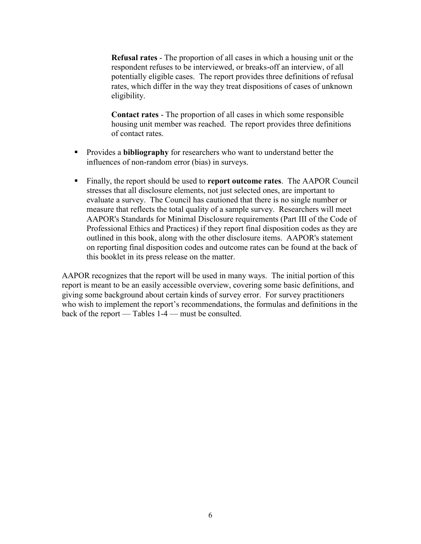**Refusal rates** - The proportion of all cases in which a housing unit or the respondent refuses to be interviewed, or breaks-off an interview, of all potentially eligible cases. The report provides three definitions of refusal rates, which differ in the way they treat dispositions of cases of unknown eligibility.

**Contact rates** - The proportion of all cases in which some responsible housing unit member was reached. The report provides three definitions of contact rates.

- **Provides a bibliography** for researchers who want to understand better the influences of non-random error (bias) in surveys.
- Finally, the report should be used to **report outcome rates**. The AAPOR Council stresses that all disclosure elements, not just selected ones, are important to evaluate a survey. The Council has cautioned that there is no single number or measure that reflects the total quality of a sample survey. Researchers will meet AAPOR's Standards for Minimal Disclosure requirements (Part III of the Code of Professional Ethics and Practices) if they report final disposition codes as they are outlined in this book, along with the other disclosure items. AAPOR's statement on reporting final disposition codes and outcome rates can be found at the back of this booklet in its press release on the matter.

AAPOR recognizes that the report will be used in many ways. The initial portion of this report is meant to be an easily accessible overview, covering some basic definitions, and giving some background about certain kinds of survey error. For survey practitioners who wish to implement the report's recommendations, the formulas and definitions in the back of the report — Tables 1-4 — must be consulted.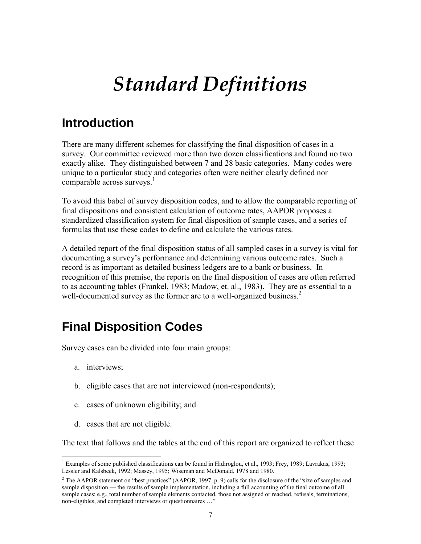# *Standard Definitions*

### **Introduction**

There are many different schemes for classifying the final disposition of cases in a survey. Our committee reviewed more than two dozen classifications and found no two exactly alike. They distinguished between 7 and 28 basic categories. Many codes were unique to a particular study and categories often were neither clearly defined nor comparable across surveys. $<sup>1</sup>$ </sup>

To avoid this babel of survey disposition codes, and to allow the comparable reporting of final dispositions and consistent calculation of outcome rates, AAPOR proposes a standardized classification system for final disposition of sample cases, and a series of formulas that use these codes to define and calculate the various rates.

A detailed report of the final disposition status of all sampled cases in a survey is vital for documenting a survey's performance and determining various outcome rates. Such a record is as important as detailed business ledgers are to a bank or business. In recognition of this premise, the reports on the final disposition of cases are often referred to as accounting tables (Frankel, 1983; Madow, et. al., 1983). They are as essential to a well-documented survey as the former are to a well-organized business.<sup>2</sup>

# **Final Disposition Codes**

Survey cases can be divided into four main groups:

- a. interviews;
- b. eligible cases that are not interviewed (non-respondents);
- c. cases of unknown eligibility; and
- d. cases that are not eligible.

The text that follows and the tables at the end of this report are organized to reflect these

l <sup>1</sup> Examples of some published classifications can be found in Hidiroglou, et al., 1993; Frey, 1989; Lavrakas, 1993; Lessler and Kalsbeek, 1992; Massey, 1995; Wiseman and McDonald, 1978 and 1980.

<sup>&</sup>lt;sup>2</sup> The AAPOR statement on "best practices" (AAPOR, 1997, p. 9) calls for the disclosure of the "size of samples and sample disposition — the results of sample implementation, including a full accounting of the final outcome of all sample cases: e.g., total number of sample elements contacted, those not assigned or reached, refusals, terminations, non-eligibles, and completed interviews or questionnaires …"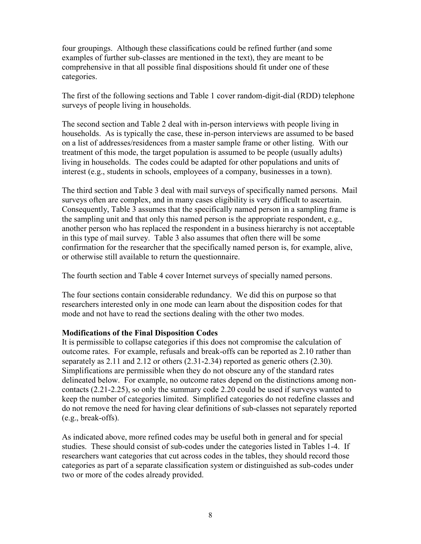four groupings. Although these classifications could be refined further (and some examples of further sub-classes are mentioned in the text), they are meant to be comprehensive in that all possible final dispositions should fit under one of these categories.

The first of the following sections and Table 1 cover random-digit-dial (RDD) telephone surveys of people living in households.

The second section and Table 2 deal with in-person interviews with people living in households. As is typically the case, these in-person interviews are assumed to be based on a list of addresses/residences from a master sample frame or other listing. With our treatment of this mode, the target population is assumed to be people (usually adults) living in households. The codes could be adapted for other populations and units of interest (e.g., students in schools, employees of a company, businesses in a town).

The third section and Table 3 deal with mail surveys of specifically named persons. Mail surveys often are complex, and in many cases eligibility is very difficult to ascertain. Consequently, Table 3 assumes that the specifically named person in a sampling frame is the sampling unit and that only this named person is the appropriate respondent, e.g., another person who has replaced the respondent in a business hierarchy is not acceptable in this type of mail survey. Table 3 also assumes that often there will be some confirmation for the researcher that the specifically named person is, for example, alive, or otherwise still available to return the questionnaire.

The fourth section and Table 4 cover Internet surveys of specially named persons.

The four sections contain considerable redundancy. We did this on purpose so that researchers interested only in one mode can learn about the disposition codes for that mode and not have to read the sections dealing with the other two modes.

### **Modifications of the Final Disposition Codes**

It is permissible to collapse categories if this does not compromise the calculation of outcome rates. For example, refusals and break-offs can be reported as 2.10 rather than separately as 2.11 and 2.12 or others (2.31-2.34) reported as generic others (2.30). Simplifications are permissible when they do not obscure any of the standard rates delineated below. For example, no outcome rates depend on the distinctions among noncontacts (2.21-2.25), so only the summary code 2.20 could be used if surveys wanted to keep the number of categories limited. Simplified categories do not redefine classes and do not remove the need for having clear definitions of sub-classes not separately reported (e.g., break-offs).

As indicated above, more refined codes may be useful both in general and for special studies. These should consist of sub-codes under the categories listed in Tables 1-4. If researchers want categories that cut across codes in the tables, they should record those categories as part of a separate classification system or distinguished as sub-codes under two or more of the codes already provided.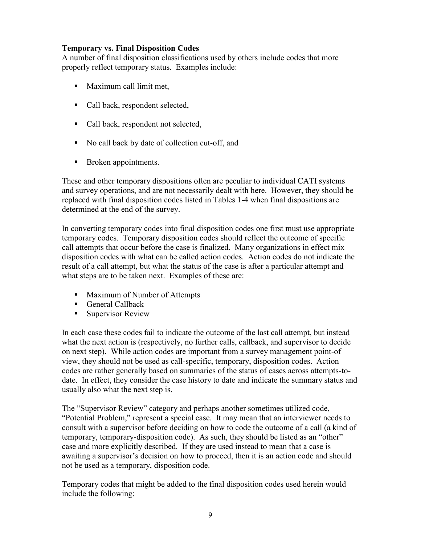### **Temporary vs. Final Disposition Codes**

A number of final disposition classifications used by others include codes that more properly reflect temporary status. Examples include:

- **Maximum call limit met,**
- Call back, respondent selected,
- Call back, respondent not selected,
- No call back by date of collection cut-off, and
- Broken appointments.

These and other temporary dispositions often are peculiar to individual CATI systems and survey operations, and are not necessarily dealt with here. However, they should be replaced with final disposition codes listed in Tables 1-4 when final dispositions are determined at the end of the survey.

In converting temporary codes into final disposition codes one first must use appropriate temporary codes. Temporary disposition codes should reflect the outcome of specific call attempts that occur before the case is finalized. Many organizations in effect mix disposition codes with what can be called action codes. Action codes do not indicate the result of a call attempt, but what the status of the case is after a particular attempt and what steps are to be taken next. Examples of these are:

- **Maximum of Number of Attempts**
- General Callback
- **Supervisor Review**

In each case these codes fail to indicate the outcome of the last call attempt, but instead what the next action is (respectively, no further calls, callback, and supervisor to decide on next step). While action codes are important from a survey management point-of view, they should not be used as call-specific, temporary, disposition codes. Action codes are rather generally based on summaries of the status of cases across attempts-todate. In effect, they consider the case history to date and indicate the summary status and usually also what the next step is.

The "Supervisor Review" category and perhaps another sometimes utilized code, "Potential Problem," represent a special case. It may mean that an interviewer needs to consult with a supervisor before deciding on how to code the outcome of a call (a kind of temporary, temporary-disposition code). As such, they should be listed as an "other" case and more explicitly described. If they are used instead to mean that a case is awaiting a supervisor's decision on how to proceed, then it is an action code and should not be used as a temporary, disposition code.

Temporary codes that might be added to the final disposition codes used herein would include the following: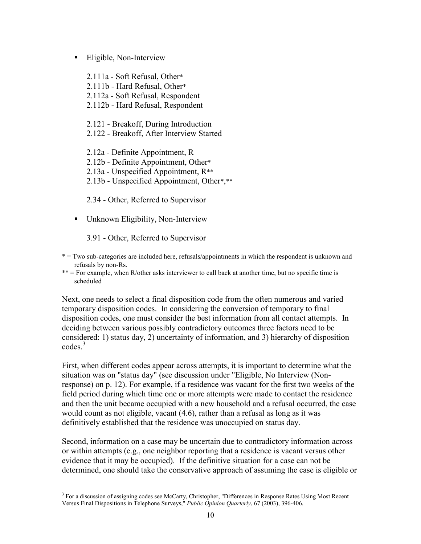### **Eligible, Non-Interview**

2.111a - Soft Refusal, Other\* 2.111b - Hard Refusal, Other\* 2.112a - Soft Refusal, Respondent 2.112b - Hard Refusal, Respondent

2.121 - Breakoff, During Introduction 2.122 - Breakoff, After Interview Started

2.12a - Definite Appointment, R 2.12b - Definite Appointment, Other\* 2.13a - Unspecified Appointment, R\*\* 2.13b - Unspecified Appointment, Other\*,\*\*

2.34 - Other, Referred to Supervisor

• Unknown Eligibility, Non-Interview

3.91 - Other, Referred to Supervisor

\* = Two sub-categories are included here, refusals/appointments in which the respondent is unknown and refusals by non-Rs.

\*\* = For example, when R/other asks interviewer to call back at another time, but no specific time is scheduled

Next, one needs to select a final disposition code from the often numerous and varied temporary disposition codes. In considering the conversion of temporary to final disposition codes, one must consider the best information from all contact attempts. In deciding between various possibly contradictory outcomes three factors need to be considered: 1) status day, 2) uncertainty of information, and 3) hierarchy of disposition  $\mathrm{codes}^3$ 

First, when different codes appear across attempts, it is important to determine what the situation was on "status day" (see discussion under "Eligible, No Interview (Nonresponse) on p. 12). For example, if a residence was vacant for the first two weeks of the field period during which time one or more attempts were made to contact the residence and then the unit became occupied with a new household and a refusal occurred, the case would count as not eligible, vacant (4.6), rather than a refusal as long as it was definitively established that the residence was unoccupied on status day.

Second, information on a case may be uncertain due to contradictory information across or within attempts (e.g., one neighbor reporting that a residence is vacant versus other evidence that it may be occupied). If the definitive situation for a case can not be determined, one should take the conservative approach of assuming the case is eligible or

<sup>&</sup>lt;sup>3</sup> For a discussion of assigning codes see McCarty, Christopher, "Differences in Response Rates Using Most Recent Versus Final Dispositions in Telephone Surveys," *Public Opinion Quarterly*, 67 (2003), 396-406.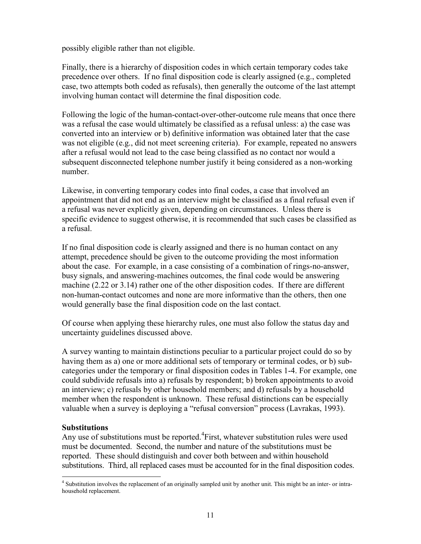possibly eligible rather than not eligible.

Finally, there is a hierarchy of disposition codes in which certain temporary codes take precedence over others. If no final disposition code is clearly assigned (e.g., completed case, two attempts both coded as refusals), then generally the outcome of the last attempt involving human contact will determine the final disposition code.

Following the logic of the human-contact-over-other-outcome rule means that once there was a refusal the case would ultimately be classified as a refusal unless: a) the case was converted into an interview or b) definitive information was obtained later that the case was not eligible (e.g., did not meet screening criteria). For example, repeated no answers after a refusal would not lead to the case being classified as no contact nor would a subsequent disconnected telephone number justify it being considered as a non-working number.

Likewise, in converting temporary codes into final codes, a case that involved an appointment that did not end as an interview might be classified as a final refusal even if a refusal was never explicitly given, depending on circumstances. Unless there is specific evidence to suggest otherwise, it is recommended that such cases be classified as a refusal.

If no final disposition code is clearly assigned and there is no human contact on any attempt, precedence should be given to the outcome providing the most information about the case. For example, in a case consisting of a combination of rings-no-answer, busy signals, and answering-machines outcomes, the final code would be answering machine (2.22 or 3.14) rather one of the other disposition codes. If there are different non-human-contact outcomes and none are more informative than the others, then one would generally base the final disposition code on the last contact.

Of course when applying these hierarchy rules, one must also follow the status day and uncertainty guidelines discussed above.

A survey wanting to maintain distinctions peculiar to a particular project could do so by having them as a) one or more additional sets of temporary or terminal codes, or b) subcategories under the temporary or final disposition codes in Tables 1-4. For example, one could subdivide refusals into a) refusals by respondent; b) broken appointments to avoid an interview; c) refusals by other household members; and d) refusals by a household member when the respondent is unknown. These refusal distinctions can be especially valuable when a survey is deploying a "refusal conversion" process (Lavrakas, 1993).

### **Substitutions**

Any use of substitutions must be reported. ${}^{4}$ First, whatever substitution rules were used must be documented. Second, the number and nature of the substitutions must be reported. These should distinguish and cover both between and within household substitutions. Third, all replaced cases must be accounted for in the final disposition codes.

 4 Substitution involves the replacement of an originally sampled unit by another unit. This might be an inter- or intrahousehold replacement.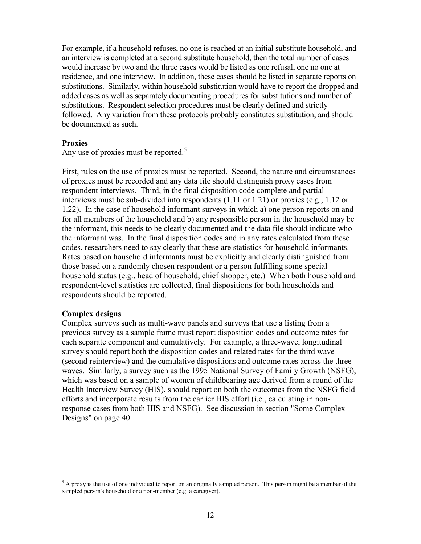For example, if a household refuses, no one is reached at an initial substitute household, and an interview is completed at a second substitute household, then the total number of cases would increase by two and the three cases would be listed as one refusal, one no one at residence, and one interview. In addition, these cases should be listed in separate reports on substitutions. Similarly, within household substitution would have to report the dropped and added cases as well as separately documenting procedures for substitutions and number of substitutions. Respondent selection procedures must be clearly defined and strictly followed. Any variation from these protocols probably constitutes substitution, and should be documented as such.

#### **Proxies**

Any use of proxies must be reported.<sup>5</sup>

First, rules on the use of proxies must be reported. Second, the nature and circumstances of proxies must be recorded and any data file should distinguish proxy cases from respondent interviews. Third, in the final disposition code complete and partial interviews must be sub-divided into respondents (1.11 or 1.21) or proxies (e.g., 1.12 or 1.22). In the case of household informant surveys in which a) one person reports on and for all members of the household and b) any responsible person in the household may be the informant, this needs to be clearly documented and the data file should indicate who the informant was. In the final disposition codes and in any rates calculated from these codes, researchers need to say clearly that these are statistics for household informants. Rates based on household informants must be explicitly and clearly distinguished from those based on a randomly chosen respondent or a person fulfilling some special household status (e.g., head of household, chief shopper, etc.) When both household and respondent-level statistics are collected, final dispositions for both households and respondents should be reported.

### **Complex designs**

Complex surveys such as multi-wave panels and surveys that use a listing from a previous survey as a sample frame must report disposition codes and outcome rates for each separate component and cumulatively. For example, a three-wave, longitudinal survey should report both the disposition codes and related rates for the third wave (second reinterview) and the cumulative dispositions and outcome rates across the three waves. Similarly, a survey such as the 1995 National Survey of Family Growth (NSFG), which was based on a sample of women of childbearing age derived from a round of the Health Interview Survey (HIS), should report on both the outcomes from the NSFG field efforts and incorporate results from the earlier HIS effort (i.e., calculating in nonresponse cases from both HIS and NSFG). See discussion in section "Some Complex Designs" on page 40.

l  $5$  A proxy is the use of one individual to report on an originally sampled person. This person might be a member of the sampled person's household or a non-member (e.g. a caregiver).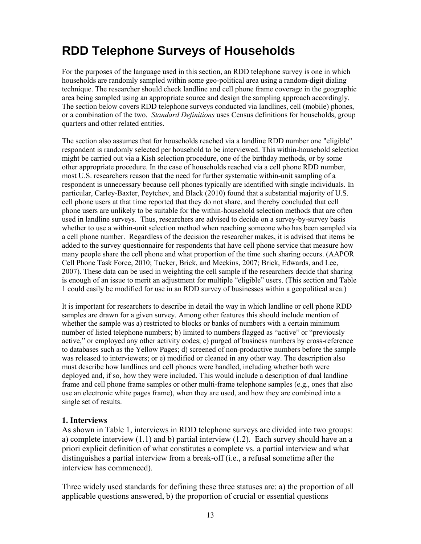# **RDD Telephone Surveys of Households**

For the purposes of the language used in this section, an RDD telephone survey is one in which households are randomly sampled within some geo-political area using a random-digit dialing technique. The researcher should check landline and cell phone frame coverage in the geographic area being sampled using an appropriate source and design the sampling approach accordingly. The section below covers RDD telephone surveys conducted via landlines, cell (mobile) phones, or a combination of the two. *Standard Definitions* uses Census definitions for households, group quarters and other related entities.

The section also assumes that for households reached via a landline RDD number one "eligible" respondent is randomly selected per household to be interviewed. This within-household selection might be carried out via a Kish selection procedure, one of the birthday methods, or by some other appropriate procedure. In the case of households reached via a cell phone RDD number, most U.S. researchers reason that the need for further systematic within-unit sampling of a respondent is unnecessary because cell phones typically are identified with single individuals. In particular, Carley-Baxter, Peytchev, and Black (2010) found that a substantial majority of U.S. cell phone users at that time reported that they do not share, and thereby concluded that cell phone users are unlikely to be suitable for the within-household selection methods that are often used in landline surveys. Thus, researchers are advised to decide on a survey-by-survey basis whether to use a within-unit selection method when reaching someone who has been sampled via a cell phone number. Regardless of the decision the researcher makes, it is advised that items be added to the survey questionnaire for respondents that have cell phone service that measure how many people share the cell phone and what proportion of the time such sharing occurs. (AAPOR Cell Phone Task Force, 2010; Tucker, Brick, and Meekins, 2007; Brick, Edwards, and Lee, 2007). These data can be used in weighting the cell sample if the researchers decide that sharing is enough of an issue to merit an adjustment for multiple "eligible" users. (This section and Table 1 could easily be modified for use in an RDD survey of businesses within a geopolitical area.)

It is important for researchers to describe in detail the way in which landline or cell phone RDD samples are drawn for a given survey. Among other features this should include mention of whether the sample was a) restricted to blocks or banks of numbers with a certain minimum number of listed telephone numbers; b) limited to numbers flagged as "active" or "previously active," or employed any other activity codes; c) purged of business numbers by cross-reference to databases such as the Yellow Pages; d) screened of non-productive numbers before the sample was released to interviewers; or e) modified or cleaned in any other way. The description also must describe how landlines and cell phones were handled, including whether both were deployed and, if so, how they were included. This would include a description of dual landline frame and cell phone frame samples or other multi-frame telephone samples (e.g., ones that also use an electronic white pages frame), when they are used, and how they are combined into a single set of results.

### **1. Interviews**

As shown in Table 1, interviews in RDD telephone surveys are divided into two groups: a) complete interview (1.1) and b) partial interview (1.2). Each survey should have an a priori explicit definition of what constitutes a complete vs. a partial interview and what distinguishes a partial interview from a break-off (i.e., a refusal sometime after the interview has commenced).

Three widely used standards for defining these three statuses are: a) the proportion of all applicable questions answered, b) the proportion of crucial or essential questions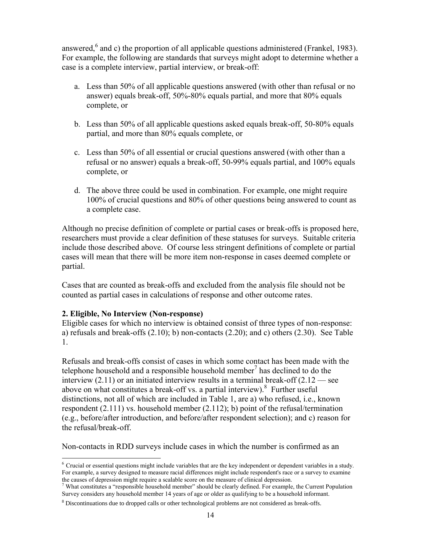answered, $6$  and c) the proportion of all applicable questions administered (Frankel, 1983). For example, the following are standards that surveys might adopt to determine whether a case is a complete interview, partial interview, or break-off:

- a. Less than 50% of all applicable questions answered (with other than refusal or no answer) equals break-off, 50%-80% equals partial, and more that 80% equals complete, or
- b. Less than 50% of all applicable questions asked equals break-off, 50-80% equals partial, and more than 80% equals complete, or
- c. Less than 50% of all essential or crucial questions answered (with other than a refusal or no answer) equals a break-off, 50-99% equals partial, and 100% equals complete, or
- d. The above three could be used in combination. For example, one might require 100% of crucial questions and 80% of other questions being answered to count as a complete case.

Although no precise definition of complete or partial cases or break-offs is proposed here, researchers must provide a clear definition of these statuses for surveys. Suitable criteria include those described above. Of course less stringent definitions of complete or partial cases will mean that there will be more item non-response in cases deemed complete or partial.

Cases that are counted as break-offs and excluded from the analysis file should not be counted as partial cases in calculations of response and other outcome rates.

### **2. Eligible, No Interview (Non-response)**

Eligible cases for which no interview is obtained consist of three types of non-response: a) refusals and break-offs (2.10); b) non-contacts (2.20); and c) others (2.30). See Table 1.

Refusals and break-offs consist of cases in which some contact has been made with the telephone household and a responsible household member<sup>7</sup> has declined to do the interview  $(2.11)$  or an initiated interview results in a terminal break-off  $(2.12$  — see above on what constitutes a break-off vs. a partial interview). <sup>8</sup> Further useful distinctions, not all of which are included in Table 1, are a) who refused, i.e., known respondent (2.111) vs. household member (2.112); b) point of the refusal/termination (e.g., before/after introduction, and before/after respondent selection); and c) reason for the refusal/break-off.

Non-contacts in RDD surveys include cases in which the number is confirmed as an

l  $6$  Crucial or essential questions might include variables that are the key independent or dependent variables in a study. For example, a survey designed to measure racial differences might include respondent's race or a survey to examine the causes of depression might require a scalable score on the measure of clinical depression.

 $7$  What constitutes a "responsible household member" should be clearly defined. For example, the Current Population Survey considers any household member 14 years of age or older as qualifying to be a household informant.

<sup>&</sup>lt;sup>8</sup> Discontinuations due to dropped calls or other technological problems are not considered as break-offs.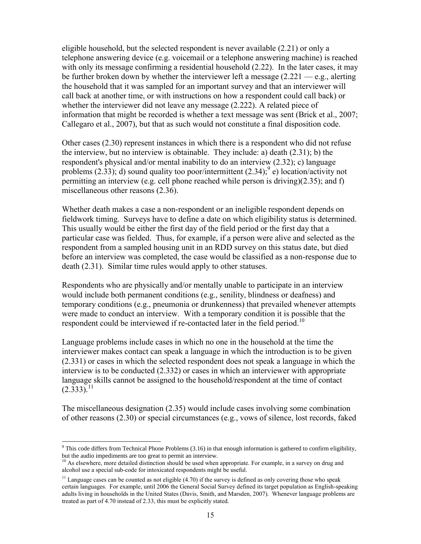eligible household, but the selected respondent is never available (2.21) or only a telephone answering device (e.g. voicemail or a telephone answering machine) is reached with only its message confirming a residential household (2.22). In the later cases, it may be further broken down by whether the interviewer left a message  $(2.221 - e.g.,$  alerting the household that it was sampled for an important survey and that an interviewer will call back at another time, or with instructions on how a respondent could call back) or whether the interviewer did not leave any message (2.222). A related piece of information that might be recorded is whether a text message was sent (Brick et al., 2007; Callegaro et al., 2007), but that as such would not constitute a final disposition code.

Other cases (2.30) represent instances in which there is a respondent who did not refuse the interview, but no interview is obtainable. They include: a) death (2.31); b) the respondent's physical and/or mental inability to do an interview (2.32); c) language problems (2.33); d) sound quality too poor/intermittent (2.34);  $\degree$  e) location/activity not permitting an interview (e.g. cell phone reached while person is driving)(2.35); and f) miscellaneous other reasons (2.36).

Whether death makes a case a non-respondent or an ineligible respondent depends on fieldwork timing. Surveys have to define a date on which eligibility status is determined. This usually would be either the first day of the field period or the first day that a particular case was fielded. Thus, for example, if a person were alive and selected as the respondent from a sampled housing unit in an RDD survey on this status date, but died before an interview was completed, the case would be classified as a non-response due to death (2.31). Similar time rules would apply to other statuses.

Respondents who are physically and/or mentally unable to participate in an interview would include both permanent conditions (e.g., senility, blindness or deafness) and temporary conditions (e.g., pneumonia or drunkenness) that prevailed whenever attempts were made to conduct an interview. With a temporary condition it is possible that the respondent could be interviewed if re-contacted later in the field period.<sup>10</sup>

Language problems include cases in which no one in the household at the time the interviewer makes contact can speak a language in which the introduction is to be given (2.331) or cases in which the selected respondent does not speak a language in which the interview is to be conducted (2.332) or cases in which an interviewer with appropriate language skills cannot be assigned to the household/respondent at the time of contact  $(2.333).$ <sup>11</sup>

The miscellaneous designation (2.35) would include cases involving some combination of other reasons (2.30) or special circumstances (e.g., vows of silence, lost records, faked

l <sup>9</sup> This code differs from Technical Phone Problems (3.16) in that enough information is gathered to confirm eligibility, but the audio impediments are too great to permit an interview.

<sup>&</sup>lt;sup>10</sup> As elsewhere, more detailed distinction should be used when appropriate. For example, in a survey on drug and alcohol use a special sub-code for intoxicated respondents might be useful.

<sup>&</sup>lt;sup>11</sup> Language cases can be counted as not eligible  $(4.70)$  if the survey is defined as only covering those who speak certain languages. For example, until 2006 the General Social Survey defined its target population as English-speaking adults living in households in the United States (Davis, Smith, and Marsden, 2007). Whenever language problems are treated as part of 4.70 instead of 2.33, this must be explicitly stated.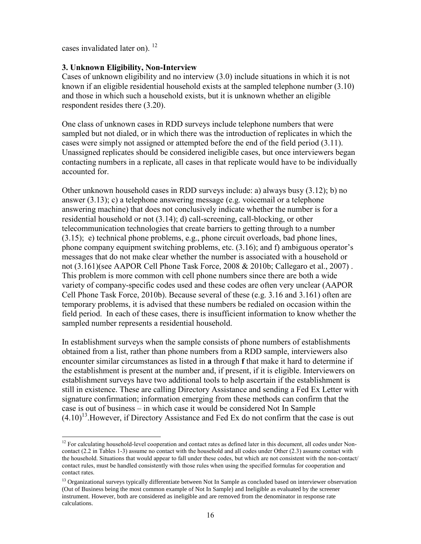cases invalidated later on).  $12$ 

l

### **3. Unknown Eligibility, Non-Interview**

Cases of unknown eligibility and no interview (3.0) include situations in which it is not known if an eligible residential household exists at the sampled telephone number (3.10) and those in which such a household exists, but it is unknown whether an eligible respondent resides there (3.20).

One class of unknown cases in RDD surveys include telephone numbers that were sampled but not dialed, or in which there was the introduction of replicates in which the cases were simply not assigned or attempted before the end of the field period (3.11). Unassigned replicates should be considered ineligible cases, but once interviewers began contacting numbers in a replicate, all cases in that replicate would have to be individually accounted for.

Other unknown household cases in RDD surveys include: a) always busy (3.12); b) no answer (3.13); c) a telephone answering message (e.g. voicemail or a telephone answering machine) that does not conclusively indicate whether the number is for a residential household or not (3.14); d) call-screening, call-blocking, or other telecommunication technologies that create barriers to getting through to a number (3.15); e) technical phone problems, e.g., phone circuit overloads, bad phone lines, phone company equipment switching problems, etc. (3.16); and f) ambiguous operator's messages that do not make clear whether the number is associated with a household or not (3.161)(see AAPOR Cell Phone Task Force, 2008 & 2010b; Callegaro et al., 2007) . This problem is more common with cell phone numbers since there are both a wide variety of company-specific codes used and these codes are often very unclear (AAPOR Cell Phone Task Force, 2010b). Because several of these (e.g. 3.16 and 3.161) often are temporary problems, it is advised that these numbers be redialed on occasion within the field period. In each of these cases, there is insufficient information to know whether the sampled number represents a residential household.

In establishment surveys when the sample consists of phone numbers of establishments obtained from a list, rather than phone numbers from a RDD sample, interviewers also encounter similar circumstances as listed in **a** through **f** that make it hard to determine if the establishment is present at the number and, if present, if it is eligible. Interviewers on establishment surveys have two additional tools to help ascertain if the establishment is still in existence. These are calling Directory Assistance and sending a Fed Ex Letter with signature confirmation; information emerging from these methods can confirm that the case is out of business – in which case it would be considered Not In Sample  $(4.10)^{13}$ . However, if Directory Assistance and Fed Ex do not confirm that the case is out

<sup>&</sup>lt;sup>12</sup> For calculating household-level cooperation and contact rates as defined later in this document, all codes under Noncontact (2.2 in Tables 1-3) assume no contact with the household and all codes under Other (2.3) assume contact with the household. Situations that would appear to fall under these codes, but which are not consistent with the non-contact/ contact rules, must be handled consistently with those rules when using the specified formulas for cooperation and contact rates.

<sup>&</sup>lt;sup>13</sup> Organizational surveys typically differentiate between Not In Sample as concluded based on interviewer observation (Out of Business being the most common example of Not In Sample) and Ineligible as evaluated by the screener instrument. However, both are considered as ineligible and are removed from the denominator in response rate calculations.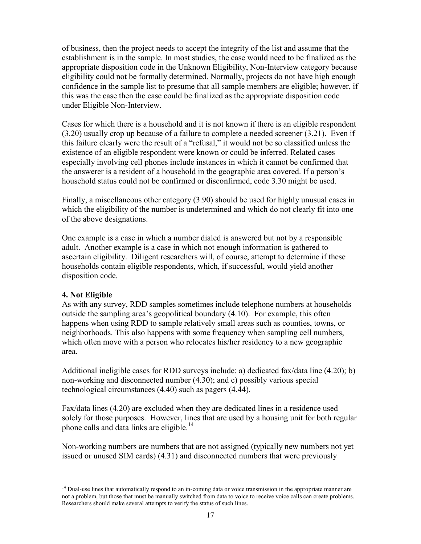of business, then the project needs to accept the integrity of the list and assume that the establishment is in the sample. In most studies, the case would need to be finalized as the appropriate disposition code in the Unknown Eligibility, Non-Interview category because eligibility could not be formally determined. Normally, projects do not have high enough confidence in the sample list to presume that all sample members are eligible; however, if this was the case then the case could be finalized as the appropriate disposition code under Eligible Non-Interview.

Cases for which there is a household and it is not known if there is an eligible respondent (3.20) usually crop up because of a failure to complete a needed screener (3.21). Even if this failure clearly were the result of a "refusal," it would not be so classified unless the existence of an eligible respondent were known or could be inferred. Related cases especially involving cell phones include instances in which it cannot be confirmed that the answerer is a resident of a household in the geographic area covered. If a person's household status could not be confirmed or disconfirmed, code 3.30 might be used.

Finally, a miscellaneous other category (3.90) should be used for highly unusual cases in which the eligibility of the number is undetermined and which do not clearly fit into one of the above designations.

One example is a case in which a number dialed is answered but not by a responsible adult. Another example is a case in which not enough information is gathered to ascertain eligibility. Diligent researchers will, of course, attempt to determine if these households contain eligible respondents, which, if successful, would yield another disposition code.

### **4. Not Eligible**

l

As with any survey, RDD samples sometimes include telephone numbers at households outside the sampling area's geopolitical boundary (4.10). For example, this often happens when using RDD to sample relatively small areas such as counties, towns, or neighborhoods. This also happens with some frequency when sampling cell numbers, which often move with a person who relocates his/her residency to a new geographic area.

Additional ineligible cases for RDD surveys include: a) dedicated fax/data line (4.20); b) non-working and disconnected number (4.30); and c) possibly various special technological circumstances (4.40) such as pagers (4.44).

Fax/data lines (4.20) are excluded when they are dedicated lines in a residence used solely for those purposes. However, lines that are used by a housing unit for both regular phone calls and data links are eligible.<sup>14</sup>

Non-working numbers are numbers that are not assigned (typically new numbers not yet issued or unused SIM cards) (4.31) and disconnected numbers that were previously

<sup>&</sup>lt;sup>14</sup> Dual-use lines that automatically respond to an in-coming data or voice transmission in the appropriate manner are not a problem, but those that must be manually switched from data to voice to receive voice calls can create problems. Researchers should make several attempts to verify the status of such lines.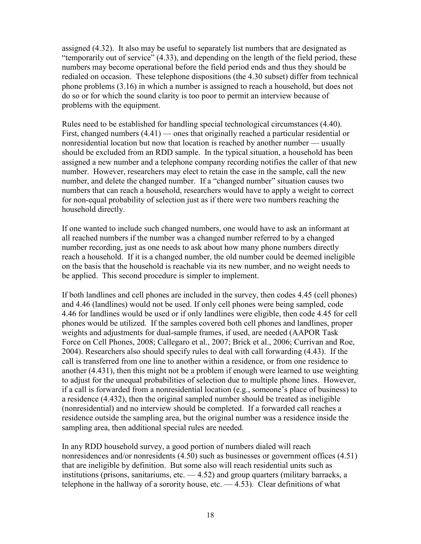assigned (4.32). It also may be useful to separately list numbers that are designated as "temporarily out of service" (4.33), and depending on the length of the field period, these numbers may become operational before the field period ends and thus they should be redialed on occasion. These telephone dispositions (the 4.30 subset) differ from technical phone problems (3.16) in which a number is assigned to reach a household, but does not do so or for which the sound clarity is too poor to permit an interview because of problems with the equipment.

Rules need to be established for handling special technological circumstances (4.40). First, changed numbers (4.41) — ones that originally reached a particular residential or nonresidential location but now that location is reached by another number — usually should be excluded from an RDD sample. In the typical situation, a household has been assigned a new number and a telephone company recording notifies the caller of that new number. However, researchers may elect to retain the case in the sample, call the new number, and delete the changed number. If a "changed number" situation causes two numbers that can reach a household, researchers would have to apply a weight to correct for non-equal probability of selection just as if there were two numbers reaching the household directly.

If one wanted to include such changed numbers, one would have to ask an informant at all reached numbers if the number was a changed number referred to by a changed number recording, just as one needs to ask about how many phone numbers directly reach a household. If it is a changed number, the old number could be deemed ineligible on the basis that the household is reachable via its new number, and no weight needs to be applied. This second procedure is simpler to implement.

If both landlines and cell phones are included in the survey, then codes 4.45 (cell phones) and 4.46 (landlines) would not be used. If only cell phones were being sampled, code 4.46 for landlines would be used or if only landlines were eligible, then code 4.45 for cell phones would be utilized. If the samples covered both cell phones and landlines, proper weights and adjustments for dual-sample frames, if used, are needed (AAPOR Task Force on Cell Phones, 2008; Callegaro et al., 2007; Brick et al., 2006; Currivan and Roe, 2004). Researchers also should specify rules to deal with call forwarding (4.43). If the call is transferred from one line to another within a residence, or from one residence to another (4.431), then this might not be a problem if enough were learned to use weighting to adjust for the unequal probabilities of selection due to multiple phone lines. However, if a call is forwarded from a nonresidential location (e.g., someone's place of business) to a residence (4.432), then the original sampled number should be treated as ineligible (nonresidential) and no interview should be completed. If a forwarded call reaches a residence outside the sampling area, but the original number was a residence inside the sampling area, then additional special rules are needed.

In any RDD household survey, a good portion of numbers dialed will reach nonresidences and/or nonresidents (4.50) such as businesses or government offices (4.51) that are ineligible by definition. But some also will reach residential units such as institutions (prisons, sanitariums, etc.  $-4.52$ ) and group quarters (military barracks, a telephone in the hallway of a sorority house, etc.  $-4.53$ ). Clear definitions of what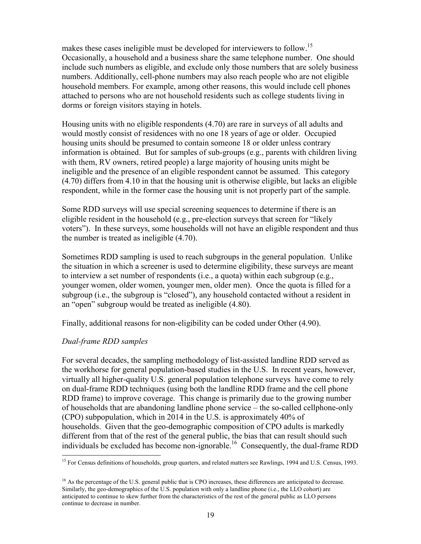makes these cases ineligible must be developed for interviewers to follow.<sup>15</sup> Occasionally, a household and a business share the same telephone number. One should include such numbers as eligible, and exclude only those numbers that are solely business numbers. Additionally, cell-phone numbers may also reach people who are not eligible household members. For example, among other reasons, this would include cell phones attached to persons who are not household residents such as college students living in dorms or foreign visitors staying in hotels.

Housing units with no eligible respondents (4.70) are rare in surveys of all adults and would mostly consist of residences with no one 18 years of age or older. Occupied housing units should be presumed to contain someone 18 or older unless contrary information is obtained. But for samples of sub-groups (e.g., parents with children living with them, RV owners, retired people) a large majority of housing units might be ineligible and the presence of an eligible respondent cannot be assumed. This category (4.70) differs from 4.10 in that the housing unit is otherwise eligible, but lacks an eligible respondent, while in the former case the housing unit is not properly part of the sample.

Some RDD surveys will use special screening sequences to determine if there is an eligible resident in the household (e.g., pre-election surveys that screen for "likely voters"). In these surveys, some households will not have an eligible respondent and thus the number is treated as ineligible (4.70).

Sometimes RDD sampling is used to reach subgroups in the general population. Unlike the situation in which a screener is used to determine eligibility, these surveys are meant to interview a set number of respondents (i.e., a quota) within each subgroup (e.g., younger women, older women, younger men, older men). Once the quota is filled for a subgroup (i.e., the subgroup is "closed"), any household contacted without a resident in an "open" subgroup would be treated as ineligible (4.80).

Finally, additional reasons for non-eligibility can be coded under Other (4.90).

### *Dual-frame RDD samples*

For several decades, the sampling methodology of list-assisted landline RDD served as the workhorse for general population-based studies in the U.S. In recent years, however, virtually all higher-quality U.S. general population telephone surveys have come to rely on dual-frame RDD techniques (using both the landline RDD frame and the cell phone RDD frame) to improve coverage. This change is primarily due to the growing number of households that are abandoning landline phone service – the so-called cellphone-only (CPO) subpopulation, which in 2014 in the U.S. is approximately 40% of households. Given that the geo-demographic composition of CPO adults is markedly different from that of the rest of the general public, the bias that can result should such individuals be excluded has become non-ignorable.<sup>16</sup> Consequently, the dual-frame RDD

l <sup>15</sup> For Census definitions of households, group quarters, and related matters see Rawlings, 1994 and U.S. Census, 1993.

<sup>&</sup>lt;sup>16</sup> As the percentage of the U.S. general public that is CPO increases, these differences are anticipated to decrease. Similarly, the geo-demographics of the U.S. population with only a landline phone (i.e., the LLO cohort) are anticipated to continue to skew further from the characteristics of the rest of the general public as LLO persons continue to decrease in number.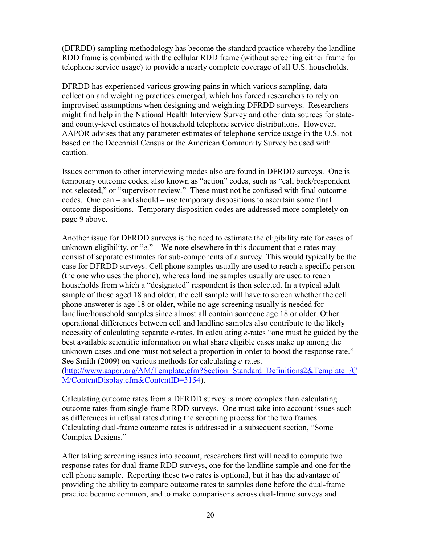(DFRDD) sampling methodology has become the standard practice whereby the landline RDD frame is combined with the cellular RDD frame (without screening either frame for telephone service usage) to provide a nearly complete coverage of all U.S. households.

DFRDD has experienced various growing pains in which various sampling, data collection and weighting practices emerged, which has forced researchers to rely on improvised assumptions when designing and weighting DFRDD surveys. Researchers might find help in the National Health Interview Survey and other data sources for stateand county-level estimates of household telephone service distributions. However, AAPOR advises that any parameter estimates of telephone service usage in the U.S. not based on the Decennial Census or the American Community Survey be used with caution.

Issues common to other interviewing modes also are found in DFRDD surveys. One is temporary outcome codes, also known as "action" codes, such as "call back/respondent not selected," or "supervisor review." These must not be confused with final outcome codes. One can – and should – use temporary dispositions to ascertain some final outcome dispositions. Temporary disposition codes are addressed more completely on page 9 above.

Another issue for DFRDD surveys is the need to estimate the eligibility rate for cases of unknown eligibility, or "*e*." We note elsewhere in this document that *e*-rates may consist of separate estimates for sub-components of a survey. This would typically be the case for DFRDD surveys. Cell phone samples usually are used to reach a specific person (the one who uses the phone), whereas landline samples usually are used to reach households from which a "designated" respondent is then selected. In a typical adult sample of those aged 18 and older, the cell sample will have to screen whether the cell phone answerer is age 18 or older, while no age screening usually is needed for landline/household samples since almost all contain someone age 18 or older. Other operational differences between cell and landline samples also contribute to the likely necessity of calculating separate *e*-rates. In calculating *e*-rates "one must be guided by the best available scientific information on what share eligible cases make up among the unknown cases and one must not select a proportion in order to boost the response rate." See Smith (2009) on various methods for calculating *e*-rates.

[\(http://www.aapor.org/AM/Template.cfm?Section=Standard\\_Definitions2&Template=/C](http://www.aapor.org/AM/Template.cfm?Section=Standard_Definitions2&Template=/CM/ContentDisplay.cfm&ContentID=3154) [M/ContentDisplay.cfm&ContentID=3154\)](http://www.aapor.org/AM/Template.cfm?Section=Standard_Definitions2&Template=/CM/ContentDisplay.cfm&ContentID=3154).

Calculating outcome rates from a DFRDD survey is more complex than calculating outcome rates from single-frame RDD surveys. One must take into account issues such as differences in refusal rates during the screening process for the two frames. Calculating dual-frame outcome rates is addressed in a subsequent section, "Some Complex Designs."

After taking screening issues into account, researchers first will need to compute two response rates for dual-frame RDD surveys, one for the landline sample and one for the cell phone sample. Reporting these two rates is optional, but it has the advantage of providing the ability to compare outcome rates to samples done before the dual-frame practice became common, and to make comparisons across dual-frame surveys and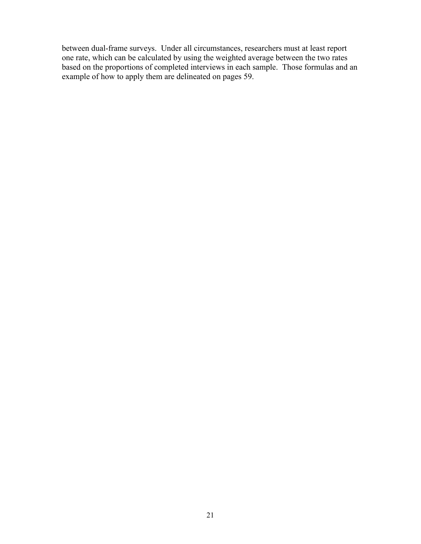between dual-frame surveys. Under all circumstances, researchers must at least report one rate, which can be calculated by using the weighted average between the two rates based on the proportions of completed interviews in each sample. Those formulas and an example of how to apply them are delineated on pages 59.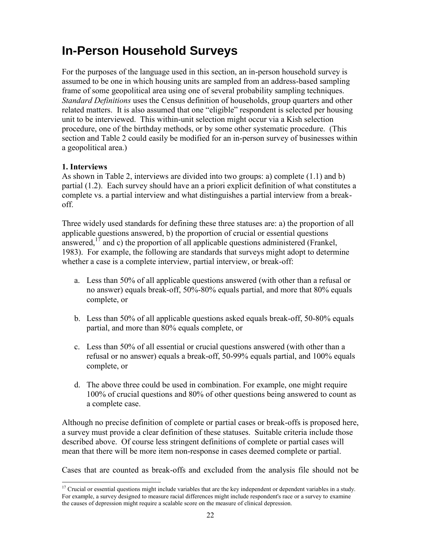# **In-Person Household Surveys**

For the purposes of the language used in this section, an in-person household survey is assumed to be one in which housing units are sampled from an address-based sampling frame of some geopolitical area using one of several probability sampling techniques. *Standard Definitions* uses the Census definition of households, group quarters and other related matters. It is also assumed that one "eligible" respondent is selected per housing unit to be interviewed. This within-unit selection might occur via a Kish selection procedure, one of the birthday methods, or by some other systematic procedure. (This section and Table 2 could easily be modified for an in-person survey of businesses within a geopolitical area.)

### **1. Interviews**

 $\overline{a}$ 

As shown in Table 2, interviews are divided into two groups: a) complete (1.1) and b) partial (1.2). Each survey should have an a priori explicit definition of what constitutes a complete vs. a partial interview and what distinguishes a partial interview from a breakoff.

Three widely used standards for defining these three statuses are: a) the proportion of all applicable questions answered, b) the proportion of crucial or essential questions answered,  $^{17}$  and c) the proportion of all applicable questions administered (Frankel, 1983). For example, the following are standards that surveys might adopt to determine whether a case is a complete interview, partial interview, or break-off:

- a. Less than 50% of all applicable questions answered (with other than a refusal or no answer) equals break-off, 50%-80% equals partial, and more that 80% equals complete, or
- b. Less than 50% of all applicable questions asked equals break-off, 50-80% equals partial, and more than 80% equals complete, or
- c. Less than 50% of all essential or crucial questions answered (with other than a refusal or no answer) equals a break-off, 50-99% equals partial, and 100% equals complete, or
- d. The above three could be used in combination. For example, one might require 100% of crucial questions and 80% of other questions being answered to count as a complete case.

Although no precise definition of complete or partial cases or break-offs is proposed here, a survey must provide a clear definition of these statuses. Suitable criteria include those described above. Of course less stringent definitions of complete or partial cases will mean that there will be more item non-response in cases deemed complete or partial.

Cases that are counted as break-offs and excluded from the analysis file should not be

 $17$  Crucial or essential questions might include variables that are the key independent or dependent variables in a study. For example, a survey designed to measure racial differences might include respondent's race or a survey to examine the causes of depression might require a scalable score on the measure of clinical depression.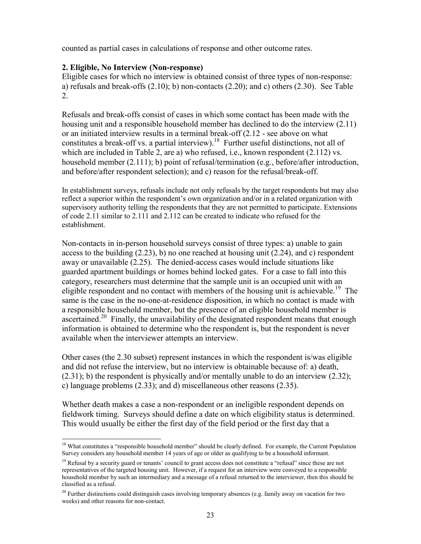counted as partial cases in calculations of response and other outcome rates.

### **2. Eligible, No Interview (Non-response)**

Eligible cases for which no interview is obtained consist of three types of non-response: a) refusals and break-offs  $(2.10)$ ; b) non-contacts  $(2.20)$ ; and c) others  $(2.30)$ . See Table 2.

Refusals and break-offs consist of cases in which some contact has been made with the housing unit and a responsible household member has declined to do the interview (2.11) or an initiated interview results in a terminal break-off (2.12 - see above on what constitutes a break-off vs. a partial interview).<sup>18</sup> Further useful distinctions, not all of which are included in Table 2, are a) who refused, i.e., known respondent (2.112) vs. household member (2.111); b) point of refusal/termination (e.g., before/after introduction, and before/after respondent selection); and c) reason for the refusal/break-off.

In establishment surveys, refusals include not only refusals by the target respondents but may also reflect a superior within the respondent's own organization and/or in a related organization with supervisory authority telling the respondents that they are not permitted to participate. Extensions of code 2.11 similar to 2.111 and 2.112 can be created to indicate who refused for the establishment.

Non-contacts in in-person household surveys consist of three types: a) unable to gain access to the building  $(2.23)$ , b) no one reached at housing unit  $(2.24)$ , and c) respondent away or unavailable (2.25). The denied-access cases would include situations like guarded apartment buildings or homes behind locked gates. For a case to fall into this category, researchers must determine that the sample unit is an occupied unit with an eligible respondent and no contact with members of the housing unit is achievable.<sup>19</sup> The same is the case in the no-one-at-residence disposition, in which no contact is made with a responsible household member, but the presence of an eligible household member is ascertained.<sup>20</sup> Finally, the unavailability of the designated respondent means that enough information is obtained to determine who the respondent is, but the respondent is never available when the interviewer attempts an interview.

Other cases (the 2.30 subset) represent instances in which the respondent is/was eligible and did not refuse the interview, but no interview is obtainable because of: a) death,  $(2.31)$ ; b) the respondent is physically and/or mentally unable to do an interview  $(2.32)$ ; c) language problems (2.33); and d) miscellaneous other reasons (2.35).

Whether death makes a case a non-respondent or an ineligible respondent depends on fieldwork timing. Surveys should define a date on which eligibility status is determined. This would usually be either the first day of the field period or the first day that a

 $\overline{\phantom{a}}$ <sup>18</sup> What constitutes a "responsible household member" should be clearly defined. For example, the Current Population Survey considers any household member 14 years of age or older as qualifying to be a household informant.

<sup>&</sup>lt;sup>19</sup> Refusal by a security guard or tenants' council to grant access does not constitute a "refusal" since these are not representatives of the targeted housing unit. However, if a request for an interview were conveyed to a responsible household member by such an intermediary and a message of a refusal returned to the interviewer, then this should be classified as a refusal.

<sup>&</sup>lt;sup>20</sup> Further distinctions could distinguish cases involving temporary absences (e.g. family away on vacation for two weeks) and other reasons for non-contact.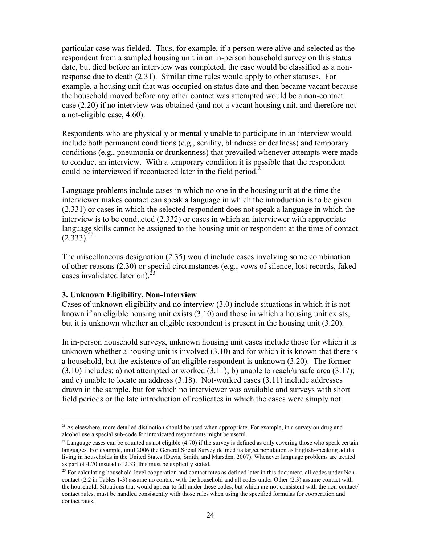particular case was fielded. Thus, for example, if a person were alive and selected as the respondent from a sampled housing unit in an in-person household survey on this status date, but died before an interview was completed, the case would be classified as a nonresponse due to death (2.31). Similar time rules would apply to other statuses. For example, a housing unit that was occupied on status date and then became vacant because the household moved before any other contact was attempted would be a non-contact case (2.20) if no interview was obtained (and not a vacant housing unit, and therefore not a not-eligible case, 4.60).

Respondents who are physically or mentally unable to participate in an interview would include both permanent conditions (e.g., senility, blindness or deafness) and temporary conditions (e.g., pneumonia or drunkenness) that prevailed whenever attempts were made to conduct an interview. With a temporary condition it is possible that the respondent could be interviewed if recontacted later in the field period.<sup>21</sup>

Language problems include cases in which no one in the housing unit at the time the interviewer makes contact can speak a language in which the introduction is to be given (2.331) or cases in which the selected respondent does not speak a language in which the interview is to be conducted (2.332) or cases in which an interviewer with appropriate language skills cannot be assigned to the housing unit or respondent at the time of contact  $(2.333).^{22}$ 

The miscellaneous designation (2.35) would include cases involving some combination of other reasons (2.30) or special circumstances (e.g., vows of silence, lost records, faked cases invalidated later on). $^{23}$ 

### **3. Unknown Eligibility, Non-Interview**

 $\overline{a}$ 

Cases of unknown eligibility and no interview (3.0) include situations in which it is not known if an eligible housing unit exists (3.10) and those in which a housing unit exists, but it is unknown whether an eligible respondent is present in the housing unit (3.20).

In in-person household surveys, unknown housing unit cases include those for which it is unknown whether a housing unit is involved (3.10) and for which it is known that there is a household, but the existence of an eligible respondent is unknown (3.20). The former  $(3.10)$  includes: a) not attempted or worked  $(3.11)$ ; b) unable to reach/unsafe area  $(3.17)$ ; and c) unable to locate an address (3.18). Not-worked cases (3.11) include addresses drawn in the sample, but for which no interviewer was available and surveys with short field periods or the late introduction of replicates in which the cases were simply not

<sup>&</sup>lt;sup>21</sup> As elsewhere, more detailed distinction should be used when appropriate. For example, in a survey on drug and alcohol use a special sub-code for intoxicated respondents might be useful.

 $^{22}$  Language cases can be counted as not eligible (4.70) if the survey is defined as only covering those who speak certain languages. For example, until 2006 the General Social Survey defined its target population as English-speaking adults living in households in the United States (Davis, Smith, and Marsden, 2007). Whenever language problems are treated as part of 4.70 instead of 2.33, this must be explicitly stated.

<sup>&</sup>lt;sup>23</sup> For calculating household-level cooperation and contact rates as defined later in this document, all codes under Noncontact (2.2 in Tables 1-3) assume no contact with the household and all codes under Other (2.3) assume contact with the household. Situations that would appear to fall under these codes, but which are not consistent with the non-contact/ contact rules, must be handled consistently with those rules when using the specified formulas for cooperation and contact rates.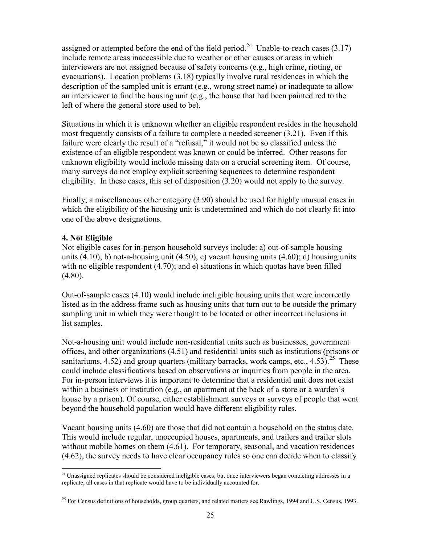assigned or attempted before the end of the field period.<sup>24</sup> Unable-to-reach cases  $(3.17)$ include remote areas inaccessible due to weather or other causes or areas in which interviewers are not assigned because of safety concerns (e.g., high crime, rioting, or evacuations). Location problems (3.18) typically involve rural residences in which the description of the sampled unit is errant (e.g., wrong street name) or inadequate to allow an interviewer to find the housing unit (e.g., the house that had been painted red to the left of where the general store used to be).

Situations in which it is unknown whether an eligible respondent resides in the household most frequently consists of a failure to complete a needed screener (3.21). Even if this failure were clearly the result of a "refusal," it would not be so classified unless the existence of an eligible respondent was known or could be inferred. Other reasons for unknown eligibility would include missing data on a crucial screening item. Of course, many surveys do not employ explicit screening sequences to determine respondent eligibility. In these cases, this set of disposition (3.20) would not apply to the survey.

Finally, a miscellaneous other category (3.90) should be used for highly unusual cases in which the eligibility of the housing unit is undetermined and which do not clearly fit into one of the above designations.

### **4. Not Eligible**

Not eligible cases for in-person household surveys include: a) out-of-sample housing units  $(4.10)$ ; b) not-a-housing unit  $(4.50)$ ; c) vacant housing units  $(4.60)$ ; d) housing units with no eligible respondent (4.70); and e) situations in which quotas have been filled  $(4.80).$ 

Out-of-sample cases (4.10) would include ineligible housing units that were incorrectly listed as in the address frame such as housing units that turn out to be outside the primary sampling unit in which they were thought to be located or other incorrect inclusions in list samples.

Not-a-housing unit would include non-residential units such as businesses, government offices, and other organizations (4.51) and residential units such as institutions (prisons or sanitariums, 4.52) and group quarters (military barracks, work camps, etc., 4.53).<sup>25</sup> These could include classifications based on observations or inquiries from people in the area. For in-person interviews it is important to determine that a residential unit does not exist within a business or institution (e.g., an apartment at the back of a store or a warden's house by a prison). Of course, either establishment surveys or surveys of people that went beyond the household population would have different eligibility rules.

Vacant housing units (4.60) are those that did not contain a household on the status date. This would include regular, unoccupied houses, apartments, and trailers and trailer slots without mobile homes on them  $(4.61)$ . For temporary, seasonal, and vacation residences (4.62), the survey needs to have clear occupancy rules so one can decide when to classify

 $\overline{\phantom{a}}$  $^{24}$  Unassigned replicates should be considered ineligible cases, but once interviewers began contacting addresses in a replicate, all cases in that replicate would have to be individually accounted for.

<sup>&</sup>lt;sup>25</sup> For Census definitions of households, group quarters, and related matters see Rawlings, 1994 and U.S. Census, 1993.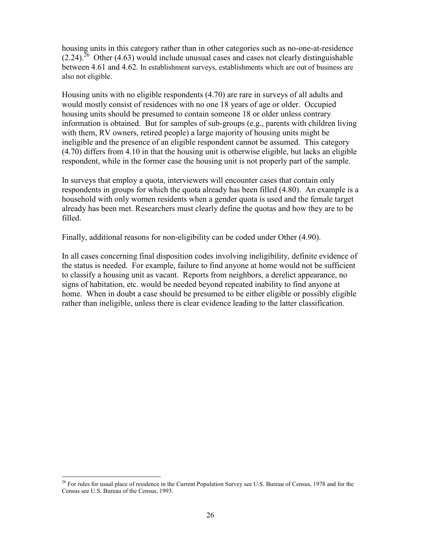housing units in this category rather than in other categories such as no-one-at-residence  $(2.24)$ <sup>26</sup> Other (4.63) would include unusual cases and cases not clearly distinguishable between 4.61 and 4.62. In establishment surveys, establishments which are out of business are also not eligible.

Housing units with no eligible respondents (4.70) are rare in surveys of all adults and would mostly consist of residences with no one 18 years of age or older. Occupied housing units should be presumed to contain someone 18 or older unless contrary information is obtained. But for samples of sub-groups (e.g., parents with children living with them, RV owners, retired people) a large majority of housing units might be ineligible and the presence of an eligible respondent cannot be assumed. This category (4.70) differs from 4.10 in that the housing unit is otherwise eligible, but lacks an eligible respondent, while in the former case the housing unit is not properly part of the sample.

In surveys that employ a quota, interviewers will encounter cases that contain only respondents in groups for which the quota already has been filled (4.80). An example is a household with only women residents when a gender quota is used and the female target already has been met. Researchers must clearly define the quotas and how they are to be filled.

Finally, additional reasons for non-eligibility can be coded under Other (4.90).

In all cases concerning final disposition codes involving ineligibility, definite evidence of the status is needed. For example, failure to find anyone at home would not be sufficient to classify a housing unit as vacant. Reports from neighbors, a derelict appearance, no signs of habitation, etc. would be needed beyond repeated inability to find anyone at home. When in doubt a case should be presumed to be either eligible or possibly eligible rather than ineligible, unless there is clear evidence leading to the latter classification.

l

 $^{26}$  For rules for usual place of residence in the Current Population Survey see U.S. Bureau of Census, 1978 and for the Census see U.S. Bureau of the Census, 1993.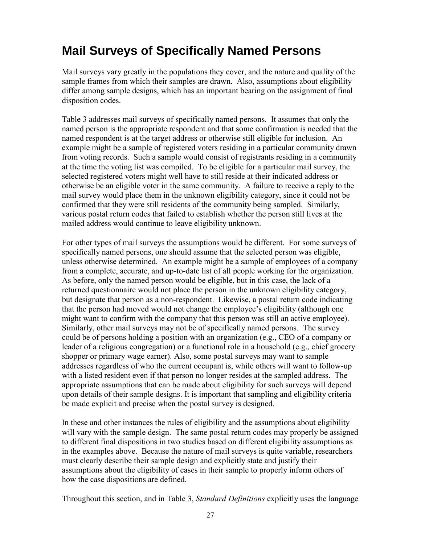# **Mail Surveys of Specifically Named Persons**

Mail surveys vary greatly in the populations they cover, and the nature and quality of the sample frames from which their samples are drawn. Also, assumptions about eligibility differ among sample designs, which has an important bearing on the assignment of final disposition codes.

Table 3 addresses mail surveys of specifically named persons. It assumes that only the named person is the appropriate respondent and that some confirmation is needed that the named respondent is at the target address or otherwise still eligible for inclusion. An example might be a sample of registered voters residing in a particular community drawn from voting records. Such a sample would consist of registrants residing in a community at the time the voting list was compiled. To be eligible for a particular mail survey, the selected registered voters might well have to still reside at their indicated address or otherwise be an eligible voter in the same community. A failure to receive a reply to the mail survey would place them in the unknown eligibility category, since it could not be confirmed that they were still residents of the community being sampled. Similarly, various postal return codes that failed to establish whether the person still lives at the mailed address would continue to leave eligibility unknown.

For other types of mail surveys the assumptions would be different. For some surveys of specifically named persons, one should assume that the selected person was eligible, unless otherwise determined. An example might be a sample of employees of a company from a complete, accurate, and up-to-date list of all people working for the organization. As before, only the named person would be eligible, but in this case, the lack of a returned questionnaire would not place the person in the unknown eligibility category, but designate that person as a non-respondent. Likewise, a postal return code indicating that the person had moved would not change the employee's eligibility (although one might want to confirm with the company that this person was still an active employee). Similarly, other mail surveys may not be of specifically named persons. The survey could be of persons holding a position with an organization (e.g., CEO of a company or leader of a religious congregation) or a functional role in a household (e.g., chief grocery shopper or primary wage earner). Also, some postal surveys may want to sample addresses regardless of who the current occupant is, while others will want to follow-up with a listed resident even if that person no longer resides at the sampled address. The appropriate assumptions that can be made about eligibility for such surveys will depend upon details of their sample designs. It is important that sampling and eligibility criteria be made explicit and precise when the postal survey is designed.

In these and other instances the rules of eligibility and the assumptions about eligibility will vary with the sample design. The same postal return codes may properly be assigned to different final dispositions in two studies based on different eligibility assumptions as in the examples above. Because the nature of mail surveys is quite variable, researchers must clearly describe their sample design and explicitly state and justify their assumptions about the eligibility of cases in their sample to properly inform others of how the case dispositions are defined.

Throughout this section, and in Table 3, *Standard Definitions* explicitly uses the language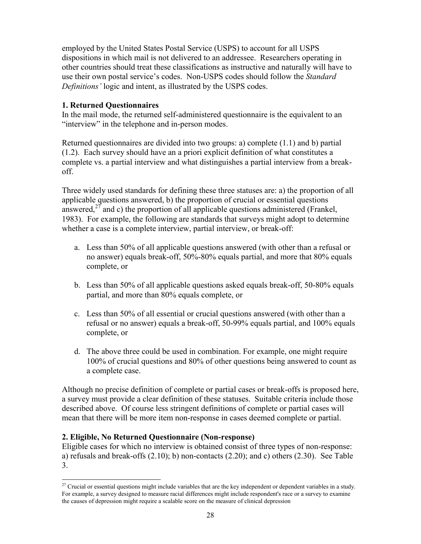employed by the United States Postal Service (USPS) to account for all USPS dispositions in which mail is not delivered to an addressee. Researchers operating in other countries should treat these classifications as instructive and naturally will have to use their own postal service's codes. Non-USPS codes should follow the *Standard Definitions'* logic and intent, as illustrated by the USPS codes.

### **1. Returned Questionnaires**

In the mail mode, the returned self-administered questionnaire is the equivalent to an "interview" in the telephone and in-person modes.

Returned questionnaires are divided into two groups: a) complete (1.1) and b) partial (1.2). Each survey should have an a priori explicit definition of what constitutes a complete vs. a partial interview and what distinguishes a partial interview from a breakoff.

Three widely used standards for defining these three statuses are: a) the proportion of all applicable questions answered, b) the proportion of crucial or essential questions answered, $27$  and c) the proportion of all applicable questions administered (Frankel, 1983). For example, the following are standards that surveys might adopt to determine whether a case is a complete interview, partial interview, or break-off:

- a. Less than 50% of all applicable questions answered (with other than a refusal or no answer) equals break-off, 50%-80% equals partial, and more that 80% equals complete, or
- b. Less than 50% of all applicable questions asked equals break-off, 50-80% equals partial, and more than 80% equals complete, or
- c. Less than 50% of all essential or crucial questions answered (with other than a refusal or no answer) equals a break-off, 50-99% equals partial, and 100% equals complete, or
- d. The above three could be used in combination. For example, one might require 100% of crucial questions and 80% of other questions being answered to count as a complete case.

Although no precise definition of complete or partial cases or break-offs is proposed here, a survey must provide a clear definition of these statuses. Suitable criteria include those described above. Of course less stringent definitions of complete or partial cases will mean that there will be more item non-response in cases deemed complete or partial.

### **2. Eligible, No Returned Questionnaire (Non-response)**

l

Eligible cases for which no interview is obtained consist of three types of non-response: a) refusals and break-offs (2.10); b) non-contacts (2.20); and c) others (2.30). See Table 3.

<sup>&</sup>lt;sup>27</sup> Crucial or essential questions might include variables that are the key independent or dependent variables in a study. For example, a survey designed to measure racial differences might include respondent's race or a survey to examine the causes of depression might require a scalable score on the measure of clinical depression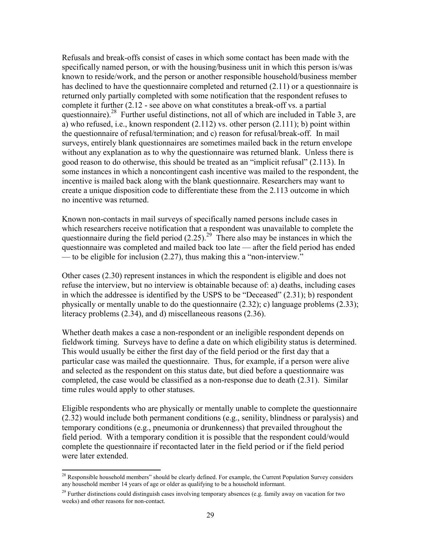Refusals and break-offs consist of cases in which some contact has been made with the specifically named person, or with the housing/business unit in which this person is/was known to reside/work, and the person or another responsible household/business member has declined to have the questionnaire completed and returned (2.11) or a questionnaire is returned only partially completed with some notification that the respondent refuses to complete it further (2.12 - see above on what constitutes a break-off vs. a partial questionnaire).<sup>28</sup> Further useful distinctions, not all of which are included in Table 3, are a) who refused, i.e., known respondent (2.112) vs. other person (2.111); b) point within the questionnaire of refusal/termination; and c) reason for refusal/break-off. In mail surveys, entirely blank questionnaires are sometimes mailed back in the return envelope without any explanation as to why the questionnaire was returned blank. Unless there is good reason to do otherwise, this should be treated as an "implicit refusal" (2.113). In some instances in which a noncontingent cash incentive was mailed to the respondent, the incentive is mailed back along with the blank questionnaire. Researchers may want to create a unique disposition code to differentiate these from the 2.113 outcome in which no incentive was returned.

Known non-contacts in mail surveys of specifically named persons include cases in which researchers receive notification that a respondent was unavailable to complete the questionnaire during the field period  $(2.25)$ .<sup>29</sup> There also may be instances in which the questionnaire was completed and mailed back too late — after the field period has ended — to be eligible for inclusion (2.27), thus making this a "non-interview."

Other cases (2.30) represent instances in which the respondent is eligible and does not refuse the interview, but no interview is obtainable because of: a) deaths, including cases in which the addressee is identified by the USPS to be "Deceased" (2.31); b) respondent physically or mentally unable to do the questionnaire (2.32); c) language problems (2.33); literacy problems (2.34), and d) miscellaneous reasons (2.36).

Whether death makes a case a non-respondent or an ineligible respondent depends on fieldwork timing. Surveys have to define a date on which eligibility status is determined. This would usually be either the first day of the field period or the first day that a particular case was mailed the questionnaire. Thus, for example, if a person were alive and selected as the respondent on this status date, but died before a questionnaire was completed, the case would be classified as a non-response due to death (2.31). Similar time rules would apply to other statuses.

Eligible respondents who are physically or mentally unable to complete the questionnaire (2.32) would include both permanent conditions (e.g., senility, blindness or paralysis) and temporary conditions (e.g., pneumonia or drunkenness) that prevailed throughout the field period. With a temporary condition it is possible that the respondent could/would complete the questionnaire if recontacted later in the field period or if the field period were later extended.

 $\overline{\phantom{a}}$ 

<sup>&</sup>lt;sup>28</sup> Responsible household members" should be clearly defined. For example, the Current Population Survey considers any household member 14 years of age or older as qualifying to be a household informant.

<sup>&</sup>lt;sup>29</sup> Further distinctions could distinguish cases involving temporary absences (e.g. family away on vacation for two weeks) and other reasons for non-contact.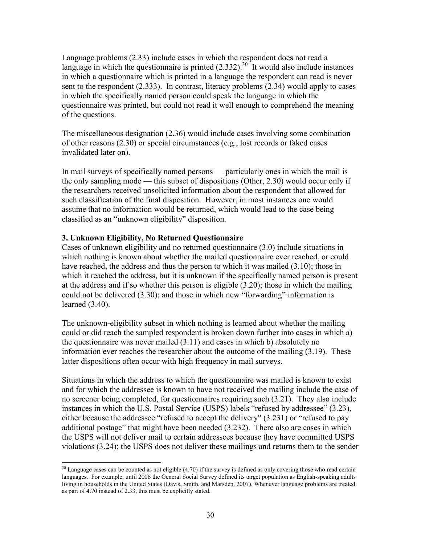Language problems (2.33) include cases in which the respondent does not read a language in which the questionnaire is printed  $(2.332)$ .<sup>30</sup> It would also include instances in which a questionnaire which is printed in a language the respondent can read is never sent to the respondent (2.333). In contrast, literacy problems (2.34) would apply to cases in which the specifically named person could speak the language in which the questionnaire was printed, but could not read it well enough to comprehend the meaning of the questions.

The miscellaneous designation (2.36) would include cases involving some combination of other reasons (2.30) or special circumstances (e.g., lost records or faked cases invalidated later on).

In mail surveys of specifically named persons — particularly ones in which the mail is the only sampling mode — this subset of dispositions (Other, 2.30) would occur only if the researchers received unsolicited information about the respondent that allowed for such classification of the final disposition. However, in most instances one would assume that no information would be returned, which would lead to the case being classified as an "unknown eligibility" disposition.

### **3. Unknown Eligibility, No Returned Questionnaire**

l

Cases of unknown eligibility and no returned questionnaire (3.0) include situations in which nothing is known about whether the mailed questionnaire ever reached, or could have reached, the address and thus the person to which it was mailed (3.10); those in which it reached the address, but it is unknown if the specifically named person is present at the address and if so whether this person is eligible (3.20); those in which the mailing could not be delivered (3.30); and those in which new "forwarding" information is learned (3.40).

The unknown-eligibility subset in which nothing is learned about whether the mailing could or did reach the sampled respondent is broken down further into cases in which a) the questionnaire was never mailed (3.11) and cases in which b) absolutely no information ever reaches the researcher about the outcome of the mailing (3.19). These latter dispositions often occur with high frequency in mail surveys.

Situations in which the address to which the questionnaire was mailed is known to exist and for which the addressee is known to have not received the mailing include the case of no screener being completed, for questionnaires requiring such (3.21). They also include instances in which the U.S. Postal Service (USPS) labels "refused by addressee" (3.23), either because the addressee "refused to accept the delivery" (3.231) or "refused to pay additional postage" that might have been needed (3.232). There also are cases in which the USPS will not deliver mail to certain addressees because they have committed USPS violations (3.24); the USPS does not deliver these mailings and returns them to the sender

 $30$  Language cases can be counted as not eligible (4.70) if the survey is defined as only covering those who read certain languages. For example, until 2006 the General Social Survey defined its target population as English-speaking adults living in households in the United States (Davis, Smith, and Marsden, 2007). Whenever language problems are treated as part of 4.70 instead of 2.33, this must be explicitly stated.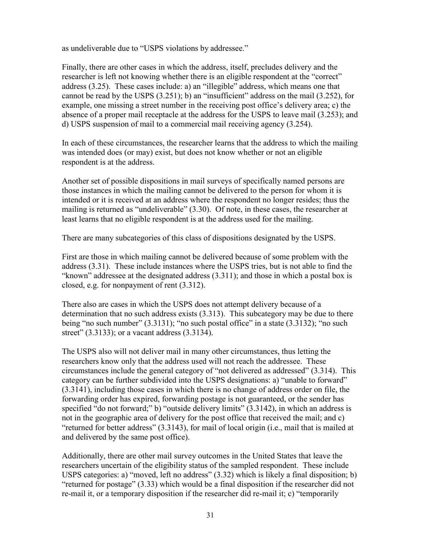as undeliverable due to "USPS violations by addressee."

Finally, there are other cases in which the address, itself, precludes delivery and the researcher is left not knowing whether there is an eligible respondent at the "correct" address (3.25). These cases include: a) an "illegible" address, which means one that cannot be read by the USPS (3.251); b) an "insufficient" address on the mail (3.252), for example, one missing a street number in the receiving post office's delivery area; c) the absence of a proper mail receptacle at the address for the USPS to leave mail (3.253); and d) USPS suspension of mail to a commercial mail receiving agency (3.254).

In each of these circumstances, the researcher learns that the address to which the mailing was intended does (or may) exist, but does not know whether or not an eligible respondent is at the address.

Another set of possible dispositions in mail surveys of specifically named persons are those instances in which the mailing cannot be delivered to the person for whom it is intended or it is received at an address where the respondent no longer resides; thus the mailing is returned as "undeliverable" (3.30). Of note, in these cases, the researcher at least learns that no eligible respondent is at the address used for the mailing.

There are many subcategories of this class of dispositions designated by the USPS.

First are those in which mailing cannot be delivered because of some problem with the address (3.31). These include instances where the USPS tries, but is not able to find the "known" addressee at the designated address (3.311); and those in which a postal box is closed, e.g. for nonpayment of rent (3.312).

There also are cases in which the USPS does not attempt delivery because of a determination that no such address exists (3.313). This subcategory may be due to there being "no such number" (3.3131); "no such postal office" in a state (3.3132); "no such street" (3.3133); or a vacant address (3.3134).

The USPS also will not deliver mail in many other circumstances, thus letting the researchers know only that the address used will not reach the addressee. These circumstances include the general category of "not delivered as addressed" (3.314). This category can be further subdivided into the USPS designations: a) "unable to forward" (3.3141), including those cases in which there is no change of address order on file, the forwarding order has expired, forwarding postage is not guaranteed, or the sender has specified "do not forward;" b) "outside delivery limits" (3.3142), in which an address is not in the geographic area of delivery for the post office that received the mail; and c) "returned for better address" (3.3143), for mail of local origin (i.e., mail that is mailed at and delivered by the same post office).

Additionally, there are other mail survey outcomes in the United States that leave the researchers uncertain of the eligibility status of the sampled respondent. These include USPS categories: a) "moved, left no address" (3.32) which is likely a final disposition; b) "returned for postage" (3.33) which would be a final disposition if the researcher did not re-mail it, or a temporary disposition if the researcher did re-mail it; c) "temporarily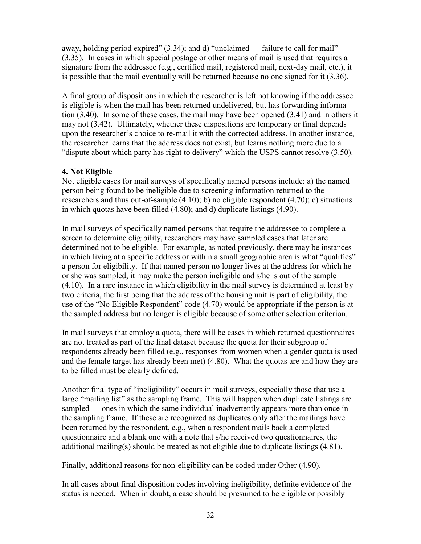away, holding period expired" (3.34); and d) "unclaimed — failure to call for mail" (3.35). In cases in which special postage or other means of mail is used that requires a signature from the addressee (e.g., certified mail, registered mail, next-day mail, etc.), it is possible that the mail eventually will be returned because no one signed for it (3.36).

A final group of dispositions in which the researcher is left not knowing if the addressee is eligible is when the mail has been returned undelivered, but has forwarding information (3.40). In some of these cases, the mail may have been opened (3.41) and in others it may not (3.42). Ultimately, whether these dispositions are temporary or final depends upon the researcher's choice to re-mail it with the corrected address. In another instance, the researcher learns that the address does not exist, but learns nothing more due to a "dispute about which party has right to delivery" which the USPS cannot resolve (3.50).

### **4. Not Eligible**

Not eligible cases for mail surveys of specifically named persons include: a) the named person being found to be ineligible due to screening information returned to the researchers and thus out-of-sample (4.10); b) no eligible respondent (4.70); c) situations in which quotas have been filled (4.80); and d) duplicate listings (4.90).

In mail surveys of specifically named persons that require the addressee to complete a screen to determine eligibility, researchers may have sampled cases that later are determined not to be eligible. For example, as noted previously, there may be instances in which living at a specific address or within a small geographic area is what "qualifies" a person for eligibility. If that named person no longer lives at the address for which he or she was sampled, it may make the person ineligible and s/he is out of the sample (4.10). In a rare instance in which eligibility in the mail survey is determined at least by two criteria, the first being that the address of the housing unit is part of eligibility, the use of the "No Eligible Respondent" code (4.70) would be appropriate if the person is at the sampled address but no longer is eligible because of some other selection criterion.

In mail surveys that employ a quota, there will be cases in which returned questionnaires are not treated as part of the final dataset because the quota for their subgroup of respondents already been filled (e.g., responses from women when a gender quota is used and the female target has already been met) (4.80). What the quotas are and how they are to be filled must be clearly defined.

Another final type of "ineligibility" occurs in mail surveys, especially those that use a large "mailing list" as the sampling frame. This will happen when duplicate listings are sampled — ones in which the same individual inadvertently appears more than once in the sampling frame. If these are recognized as duplicates only after the mailings have been returned by the respondent, e.g., when a respondent mails back a completed questionnaire and a blank one with a note that s/he received two questionnaires, the additional mailing(s) should be treated as not eligible due to duplicate listings (4.81).

Finally, additional reasons for non-eligibility can be coded under Other (4.90).

In all cases about final disposition codes involving ineligibility, definite evidence of the status is needed. When in doubt, a case should be presumed to be eligible or possibly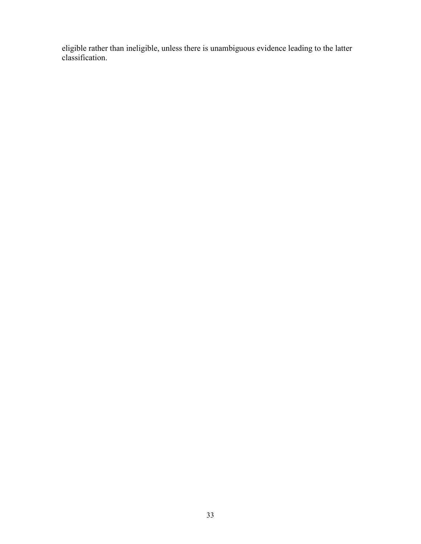eligible rather than ineligible, unless there is unambiguous evidence leading to the latter classification.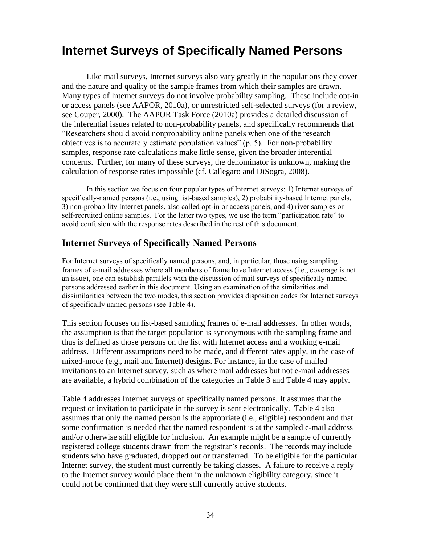### **Internet Surveys of Specifically Named Persons**

Like mail surveys, Internet surveys also vary greatly in the populations they cover and the nature and quality of the sample frames from which their samples are drawn. Many types of Internet surveys do not involve probability sampling. These include opt-in or access panels (see AAPOR, 2010a), or unrestricted self-selected surveys (for a review, see Couper, 2000). The AAPOR Task Force (2010a) provides a detailed discussion of the inferential issues related to non-probability panels, and specifically recommends that "Researchers should avoid nonprobability online panels when one of the research objectives is to accurately estimate population values" (p. 5). For non-probability samples, response rate calculations make little sense, given the broader inferential concerns. Further, for many of these surveys, the denominator is unknown, making the calculation of response rates impossible (cf. Callegaro and DiSogra, 2008).

In this section we focus on four popular types of Internet surveys: 1) Internet surveys of specifically-named persons (i.e., using list-based samples), 2) probability-based Internet panels, 3) non-probability Internet panels, also called opt-in or access panels, and 4) river samples or self-recruited online samples. For the latter two types, we use the term "participation rate" to avoid confusion with the response rates described in the rest of this document.

### **Internet Surveys of Specifically Named Persons**

For Internet surveys of specifically named persons, and, in particular, those using sampling frames of e-mail addresses where all members of frame have Internet access (i.e., coverage is not an issue), one can establish parallels with the discussion of mail surveys of specifically named persons addressed earlier in this document. Using an examination of the similarities and dissimilarities between the two modes, this section provides disposition codes for Internet surveys of specifically named persons (see Table 4).

This section focuses on list-based sampling frames of e-mail addresses. In other words, the assumption is that the target population is synonymous with the sampling frame and thus is defined as those persons on the list with Internet access and a working e-mail address. Different assumptions need to be made, and different rates apply, in the case of mixed-mode (e.g., mail and Internet) designs. For instance, in the case of mailed invitations to an Internet survey, such as where mail addresses but not e-mail addresses are available, a hybrid combination of the categories in Table 3 and Table 4 may apply.

Table 4 addresses Internet surveys of specifically named persons. It assumes that the request or invitation to participate in the survey is sent electronically. Table 4 also assumes that only the named person is the appropriate (i.e., eligible) respondent and that some confirmation is needed that the named respondent is at the sampled e-mail address and/or otherwise still eligible for inclusion. An example might be a sample of currently registered college students drawn from the registrar's records. The records may include students who have graduated, dropped out or transferred. To be eligible for the particular Internet survey, the student must currently be taking classes. A failure to receive a reply to the Internet survey would place them in the unknown eligibility category, since it could not be confirmed that they were still currently active students.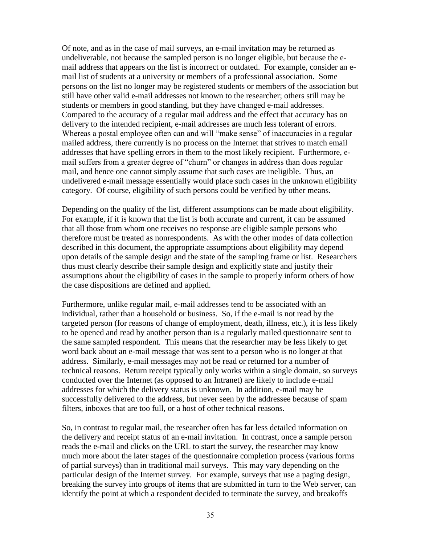Of note, and as in the case of mail surveys, an e-mail invitation may be returned as undeliverable, not because the sampled person is no longer eligible, but because the email address that appears on the list is incorrect or outdated. For example, consider an email list of students at a university or members of a professional association. Some persons on the list no longer may be registered students or members of the association but still have other valid e-mail addresses not known to the researcher; others still may be students or members in good standing, but they have changed e-mail addresses. Compared to the accuracy of a regular mail address and the effect that accuracy has on delivery to the intended recipient, e-mail addresses are much less tolerant of errors. Whereas a postal employee often can and will "make sense" of inaccuracies in a regular mailed address, there currently is no process on the Internet that strives to match email addresses that have spelling errors in them to the most likely recipient. Furthermore, email suffers from a greater degree of "churn" or changes in address than does regular mail, and hence one cannot simply assume that such cases are ineligible. Thus, an undelivered e-mail message essentially would place such cases in the unknown eligibility category. Of course, eligibility of such persons could be verified by other means.

Depending on the quality of the list, different assumptions can be made about eligibility. For example, if it is known that the list is both accurate and current, it can be assumed that all those from whom one receives no response are eligible sample persons who therefore must be treated as nonrespondents. As with the other modes of data collection described in this document, the appropriate assumptions about eligibility may depend upon details of the sample design and the state of the sampling frame or list. Researchers thus must clearly describe their sample design and explicitly state and justify their assumptions about the eligibility of cases in the sample to properly inform others of how the case dispositions are defined and applied.

Furthermore, unlike regular mail, e-mail addresses tend to be associated with an individual, rather than a household or business. So, if the e-mail is not read by the targeted person (for reasons of change of employment, death, illness, etc.), it is less likely to be opened and read by another person than is a regularly mailed questionnaire sent to the same sampled respondent. This means that the researcher may be less likely to get word back about an e-mail message that was sent to a person who is no longer at that address. Similarly, e-mail messages may not be read or returned for a number of technical reasons. Return receipt typically only works within a single domain, so surveys conducted over the Internet (as opposed to an Intranet) are likely to include e-mail addresses for which the delivery status is unknown. In addition, e-mail may be successfully delivered to the address, but never seen by the addressee because of spam filters, inboxes that are too full, or a host of other technical reasons.

So, in contrast to regular mail, the researcher often has far less detailed information on the delivery and receipt status of an e-mail invitation. In contrast, once a sample person reads the e-mail and clicks on the URL to start the survey, the researcher may know much more about the later stages of the questionnaire completion process (various forms of partial surveys) than in traditional mail surveys. This may vary depending on the particular design of the Internet survey. For example, surveys that use a paging design, breaking the survey into groups of items that are submitted in turn to the Web server, can identify the point at which a respondent decided to terminate the survey, and breakoffs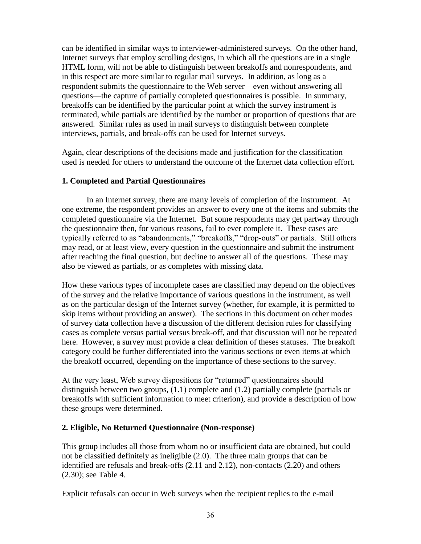can be identified in similar ways to interviewer-administered surveys. On the other hand, Internet surveys that employ scrolling designs, in which all the questions are in a single HTML form, will not be able to distinguish between breakoffs and nonrespondents, and in this respect are more similar to regular mail surveys. In addition, as long as a respondent submits the questionnaire to the Web server—even without answering all questions—the capture of partially completed questionnaires is possible. In summary, breakoffs can be identified by the particular point at which the survey instrument is terminated, while partials are identified by the number or proportion of questions that are answered. Similar rules as used in mail surveys to distinguish between complete interviews, partials, and break-offs can be used for Internet surveys.

Again, clear descriptions of the decisions made and justification for the classification used is needed for others to understand the outcome of the Internet data collection effort.

### **1. Completed and Partial Questionnaires**

In an Internet survey, there are many levels of completion of the instrument. At one extreme, the respondent provides an answer to every one of the items and submits the completed questionnaire via the Internet. But some respondents may get partway through the questionnaire then, for various reasons, fail to ever complete it. These cases are typically referred to as "abandonments," "breakoffs," "drop-outs" or partials. Still others may read, or at least view, every question in the questionnaire and submit the instrument after reaching the final question, but decline to answer all of the questions. These may also be viewed as partials, or as completes with missing data.

How these various types of incomplete cases are classified may depend on the objectives of the survey and the relative importance of various questions in the instrument, as well as on the particular design of the Internet survey (whether, for example, it is permitted to skip items without providing an answer). The sections in this document on other modes of survey data collection have a discussion of the different decision rules for classifying cases as complete versus partial versus break-off, and that discussion will not be repeated here. However, a survey must provide a clear definition of theses statuses. The breakoff category could be further differentiated into the various sections or even items at which the breakoff occurred, depending on the importance of these sections to the survey.

At the very least, Web survey dispositions for "returned" questionnaires should distinguish between two groups, (1.1) complete and (1.2) partially complete (partials or breakoffs with sufficient information to meet criterion), and provide a description of how these groups were determined.

### **2. Eligible, No Returned Questionnaire (Non-response)**

This group includes all those from whom no or insufficient data are obtained, but could not be classified definitely as ineligible (2.0). The three main groups that can be identified are refusals and break-offs (2.11 and 2.12), non-contacts (2.20) and others (2.30); see Table 4.

Explicit refusals can occur in Web surveys when the recipient replies to the e-mail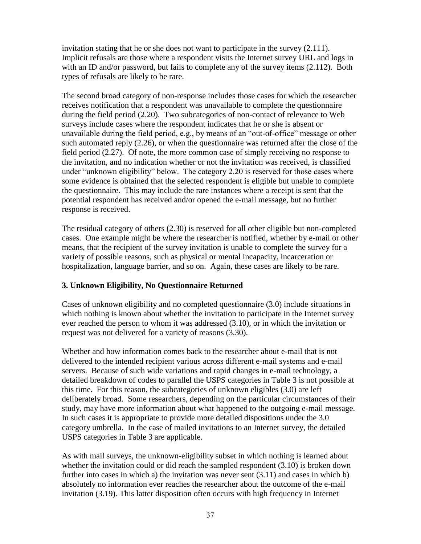invitation stating that he or she does not want to participate in the survey (2.111). Implicit refusals are those where a respondent visits the Internet survey URL and logs in with an ID and/or password, but fails to complete any of the survey items  $(2.112)$ . Both types of refusals are likely to be rare.

The second broad category of non-response includes those cases for which the researcher receives notification that a respondent was unavailable to complete the questionnaire during the field period (2.20). Two subcategories of non-contact of relevance to Web surveys include cases where the respondent indicates that he or she is absent or unavailable during the field period, e.g., by means of an "out-of-office" message or other such automated reply (2.26), or when the questionnaire was returned after the close of the field period (2.27). Of note, the more common case of simply receiving no response to the invitation, and no indication whether or not the invitation was received, is classified under "unknown eligibility" below. The category 2.20 is reserved for those cases where some evidence is obtained that the selected respondent is eligible but unable to complete the questionnaire. This may include the rare instances where a receipt is sent that the potential respondent has received and/or opened the e-mail message, but no further response is received.

The residual category of others (2.30) is reserved for all other eligible but non-completed cases. One example might be where the researcher is notified, whether by e-mail or other means, that the recipient of the survey invitation is unable to complete the survey for a variety of possible reasons, such as physical or mental incapacity, incarceration or hospitalization, language barrier, and so on. Again, these cases are likely to be rare.

### **3. Unknown Eligibility, No Questionnaire Returned**

Cases of unknown eligibility and no completed questionnaire (3.0) include situations in which nothing is known about whether the invitation to participate in the Internet survey ever reached the person to whom it was addressed (3.10), or in which the invitation or request was not delivered for a variety of reasons (3.30).

Whether and how information comes back to the researcher about e-mail that is not delivered to the intended recipient various across different e-mail systems and e-mail servers. Because of such wide variations and rapid changes in e-mail technology, a detailed breakdown of codes to parallel the USPS categories in Table 3 is not possible at this time. For this reason, the subcategories of unknown eligibles (3.0) are left deliberately broad. Some researchers, depending on the particular circumstances of their study, may have more information about what happened to the outgoing e-mail message. In such cases it is appropriate to provide more detailed dispositions under the 3.0 category umbrella. In the case of mailed invitations to an Internet survey, the detailed USPS categories in Table 3 are applicable.

As with mail surveys, the unknown-eligibility subset in which nothing is learned about whether the invitation could or did reach the sampled respondent (3.10) is broken down further into cases in which a) the invitation was never sent (3.11) and cases in which b) absolutely no information ever reaches the researcher about the outcome of the e-mail invitation (3.19). This latter disposition often occurs with high frequency in Internet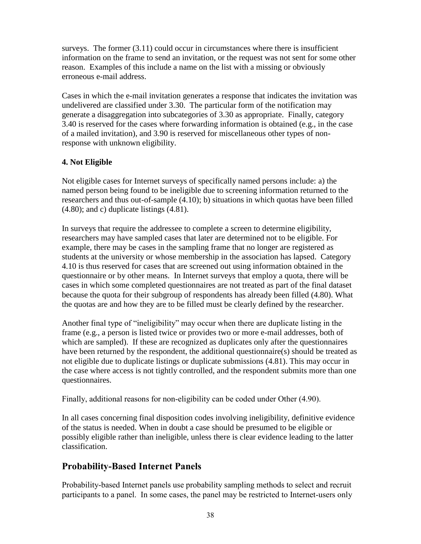surveys. The former  $(3.11)$  could occur in circumstances where there is insufficient information on the frame to send an invitation, or the request was not sent for some other reason. Examples of this include a name on the list with a missing or obviously erroneous e-mail address.

Cases in which the e-mail invitation generates a response that indicates the invitation was undelivered are classified under 3.30. The particular form of the notification may generate a disaggregation into subcategories of 3.30 as appropriate. Finally, category 3.40 is reserved for the cases where forwarding information is obtained (e.g., in the case of a mailed invitation), and 3.90 is reserved for miscellaneous other types of nonresponse with unknown eligibility.

### **4. Not Eligible**

Not eligible cases for Internet surveys of specifically named persons include: a) the named person being found to be ineligible due to screening information returned to the researchers and thus out-of-sample (4.10); b) situations in which quotas have been filled  $(4.80)$ ; and c) duplicate listings  $(4.81)$ .

In surveys that require the addressee to complete a screen to determine eligibility, researchers may have sampled cases that later are determined not to be eligible. For example, there may be cases in the sampling frame that no longer are registered as students at the university or whose membership in the association has lapsed. Category 4.10 is thus reserved for cases that are screened out using information obtained in the questionnaire or by other means. In Internet surveys that employ a quota, there will be cases in which some completed questionnaires are not treated as part of the final dataset because the quota for their subgroup of respondents has already been filled (4.80). What the quotas are and how they are to be filled must be clearly defined by the researcher.

Another final type of "ineligibility" may occur when there are duplicate listing in the frame (e.g., a person is listed twice or provides two or more e-mail addresses, both of which are sampled). If these are recognized as duplicates only after the questionnaires have been returned by the respondent, the additional questionnaire(s) should be treated as not eligible due to duplicate listings or duplicate submissions (4.81). This may occur in the case where access is not tightly controlled, and the respondent submits more than one questionnaires.

Finally, additional reasons for non-eligibility can be coded under Other (4.90).

In all cases concerning final disposition codes involving ineligibility, definitive evidence of the status is needed. When in doubt a case should be presumed to be eligible or possibly eligible rather than ineligible, unless there is clear evidence leading to the latter classification.

### **Probability-Based Internet Panels**

Probability-based Internet panels use probability sampling methods to select and recruit participants to a panel. In some cases, the panel may be restricted to Internet-users only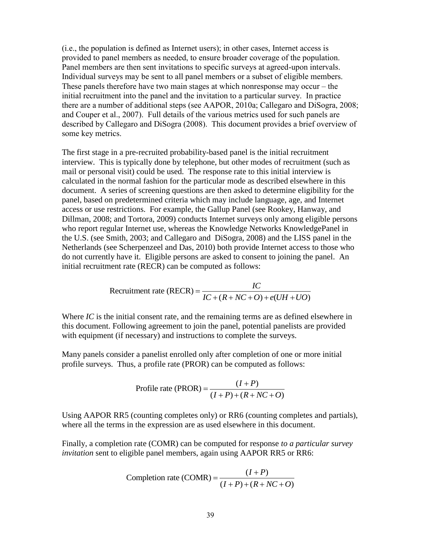(i.e., the population is defined as Internet users); in other cases, Internet access is provided to panel members as needed, to ensure broader coverage of the population. Panel members are then sent invitations to specific surveys at agreed-upon intervals. Individual surveys may be sent to all panel members or a subset of eligible members. These panels therefore have two main stages at which nonresponse may occur – the initial recruitment into the panel and the invitation to a particular survey. In practice there are a number of additional steps (see AAPOR, 2010a; Callegaro and DiSogra, 2008; and Couper et al., 2007). Full details of the various metrics used for such panels are described by Callegaro and DiSogra (2008). This document provides a brief overview of some key metrics.

The first stage in a pre-recruited probability-based panel is the initial recruitment interview. This is typically done by telephone, but other modes of recruitment (such as mail or personal visit) could be used. The response rate to this initial interview is calculated in the normal fashion for the particular mode as described elsewhere in this document. A series of screening questions are then asked to determine eligibility for the panel, based on predetermined criteria which may include language, age, and Internet access or use restrictions. For example, the Gallup Panel (see Rookey, Hanway, and Dillman, 2008; and Tortora, 2009) conducts Internet surveys only among eligible persons who report regular Internet use, whereas the Knowledge Networks KnowledgePanel in the U.S. (see Smith, 2003; and Callegaro and DiSogra, 2008) and the LISS panel in the Netherlands (see Scherpenzeel and Das, 2010) both provide Internet access to those who do not currently have it. Eligible persons are asked to consent to joining the panel. An initial recruitment rate (RECR) can be computed as follows:

Recruitment rate (RECR) = 
$$
\frac{IC}{IC + (R + NC + O) + e(UH + UO)}
$$

Where *IC* is the initial consent rate, and the remaining terms are as defined elsewhere in this document. Following agreement to join the panel, potential panelists are provided with equipment (if necessary) and instructions to complete the surveys.

Many panels consider a panelist enrolled only after completion of one or more initial profile surveys. Thus, a profile rate (PROR) can be computed as follows:

$$
ext{Problem:} \text{rate (PROR)} = \frac{(I+P)}{(I+P)+(R+NC+O)}
$$

Using AAPOR RR5 (counting completes only) or RR6 (counting completes and partials), where all the terms in the expression are as used elsewhere in this document.

Finally, a completion rate (COMR) can be computed for response *to a particular survey* 

*invitation* sent to eligible panel members, again using AAPOR RR5 or RR6:  
Completion rate (COMR) = 
$$
\frac{(I+P)}{(I+P)+(R+NC+O)}
$$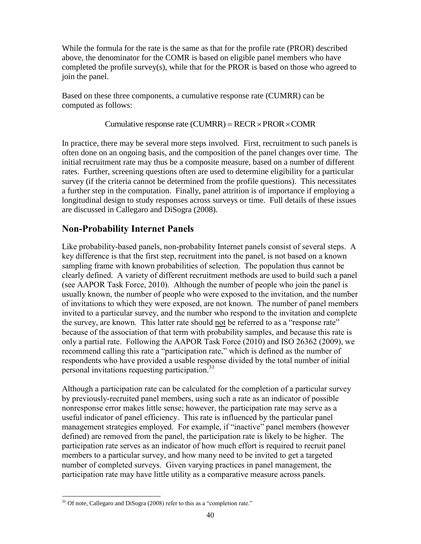While the formula for the rate is the same as that for the profile rate (PROR) described above, the denominator for the COMR is based on eligible panel members who have completed the profile survey(s), while that for the PROR is based on those who agreed to join the panel.

Based on these three components, a cumulative response rate (CUMRR) can be computed as follows:

### Cumulative response rate (CUMRR) =  $RECR \times PROR \times COMR$

In practice, there may be several more steps involved. First, recruitment to such panels is often done on an ongoing basis, and the composition of the panel changes over time. The initial recruitment rate may thus be a composite measure, based on a number of different rates. Further, screening questions often are used to determine eligibility for a particular survey (if the criteria cannot be determined from the profile questions). This necessitates a further step in the computation. Finally, panel attrition is of importance if employing a longitudinal design to study responses across surveys or time. Full details of these issues are discussed in Callegaro and DiSogra (2008).

### **Non-Probability Internet Panels**

Like probability-based panels, non-probability Internet panels consist of several steps. A key difference is that the first step, recruitment into the panel, is not based on a known sampling frame with known probabilities of selection. The population thus cannot be clearly defined. A variety of different recruitment methods are used to build such a panel (see AAPOR Task Force, 2010). Although the number of people who join the panel is usually known, the number of people who were exposed to the invitation, and the number of invitations to which they were exposed, are not known. The number of panel members invited to a particular survey, and the number who respond to the invitation and complete the survey, are known. This latter rate should not be referred to as a "response rate" because of the association of that term with probability samples, and because this rate is only a partial rate. Following the AAPOR Task Force (2010) and ISO 26362 (2009), we recommend calling this rate a "participation rate," which is defined as the number of respondents who have provided a usable response divided by the total number of initial personal invitations requesting participation.<sup>31</sup>

Although a participation rate can be calculated for the completion of a particular survey by previously-recruited panel members, using such a rate as an indicator of possible nonresponse error makes little sense; however, the participation rate may serve as a useful indicator of panel efficiency. This rate is influenced by the particular panel management strategies employed. For example, if "inactive" panel members (however defined) are removed from the panel, the participation rate is likely to be higher. The participation rate serves as an indicator of how much effort is required to recruit panel members to a particular survey, and how many need to be invited to get a targeted number of completed surveys. Given varying practices in panel management, the participation rate may have little utility as a comparative measure across panels.

 $\overline{a}$  $31$  Of note, Callegaro and DiSogra (2008) refer to this as a "completion rate."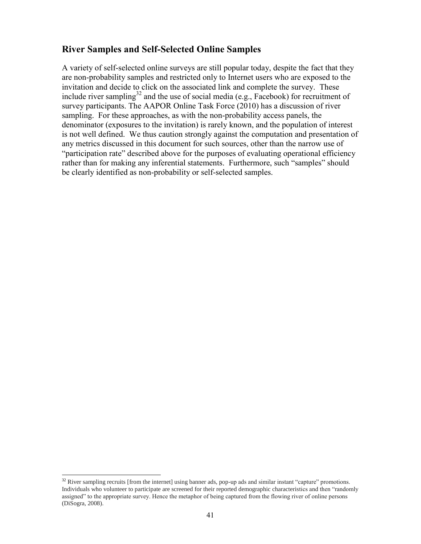### **River Samples and Self-Selected Online Samples**

A variety of self-selected online surveys are still popular today, despite the fact that they are non-probability samples and restricted only to Internet users who are exposed to the invitation and decide to click on the associated link and complete the survey. These include river sampling<sup>32</sup> and the use of social media (e.g., Facebook) for recruitment of survey participants. The AAPOR Online Task Force (2010) has a discussion of river sampling. For these approaches, as with the non-probability access panels, the denominator (exposures to the invitation) is rarely known, and the population of interest is not well defined. We thus caution strongly against the computation and presentation of any metrics discussed in this document for such sources, other than the narrow use of "participation rate" described above for the purposes of evaluating operational efficiency rather than for making any inferential statements. Furthermore, such "samples" should be clearly identified as non-probability or self-selected samples.

l  $32$  River sampling recruits [from the internet] using banner ads, pop-up ads and similar instant "capture" promotions. Individuals who volunteer to participate are screened for their reported demographic characteristics and then "randomly assigned" to the appropriate survey. Hence the metaphor of being captured from the flowing river of online persons (DiSogra, 2008).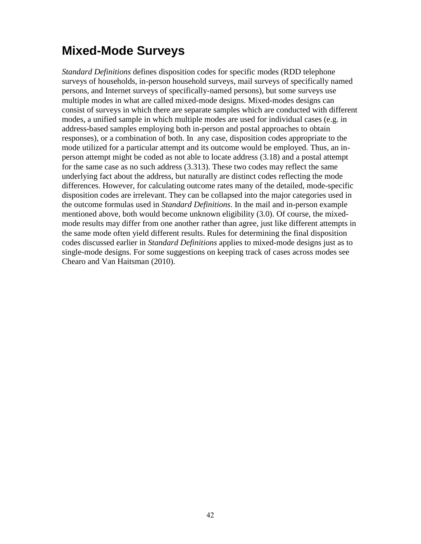# **Mixed-Mode Surveys**

*Standard Definitions* defines disposition codes for specific modes (RDD telephone surveys of households, in-person household surveys, mail surveys of specifically named persons, and Internet surveys of specifically-named persons), but some surveys use multiple modes in what are called mixed-mode designs. Mixed-modes designs can consist of surveys in which there are separate samples which are conducted with different modes, a unified sample in which multiple modes are used for individual cases (e.g. in address-based samples employing both in-person and postal approaches to obtain responses), or a combination of both. In any case, disposition codes appropriate to the mode utilized for a particular attempt and its outcome would be employed. Thus, an inperson attempt might be coded as not able to locate address (3.18) and a postal attempt for the same case as no such address (3.313). These two codes may reflect the same underlying fact about the address, but naturally are distinct codes reflecting the mode differences. However, for calculating outcome rates many of the detailed, mode-specific disposition codes are irrelevant. They can be collapsed into the major categories used in the outcome formulas used in *Standard Definitions*. In the mail and in-person example mentioned above, both would become unknown eligibility (3.0). Of course, the mixedmode results may differ from one another rather than agree, just like different attempts in the same mode often yield different results. Rules for determining the final disposition codes discussed earlier in *Standard Definitions* applies to mixed-mode designs just as to single-mode designs. For some suggestions on keeping track of cases across modes see Chearo and Van Haitsman (2010).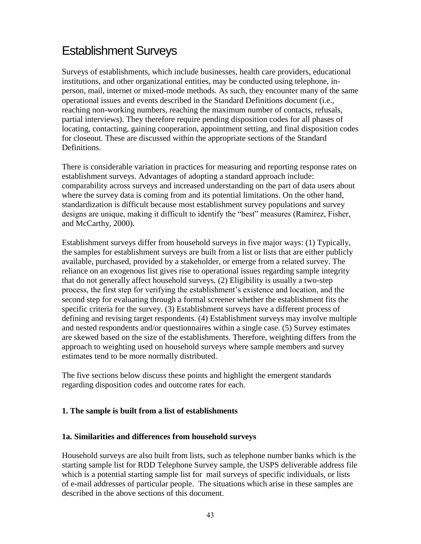### Establishment Surveys

Surveys of establishments, which include businesses, health care providers, educational institutions, and other organizational entities, may be conducted using telephone, inperson, mail, internet or mixed-mode methods. As such, they encounter many of the same operational issues and events described in the Standard Definitions document (i.e., reaching non-working numbers, reaching the maximum number of contacts, refusals, partial interviews). They therefore require pending disposition codes for all phases of locating, contacting, gaining cooperation, appointment setting, and final disposition codes for closeout. These are discussed within the appropriate sections of the Standard Definitions.

There is considerable variation in practices for measuring and reporting response rates on establishment surveys. Advantages of adopting a standard approach include: comparability across surveys and increased understanding on the part of data users about where the survey data is coming from and its potential limitations. On the other hand, standardization is difficult because most establishment survey populations and survey designs are unique, making it difficult to identify the "best" measures (Ramirez, Fisher, and McCarthy, 2000).

Establishment surveys differ from household surveys in five major ways: (1) Typically, the samples for establishment surveys are built from a list or lists that are either publicly available, purchased, provided by a stakeholder, or emerge from a related survey. The reliance on an exogenous list gives rise to operational issues regarding sample integrity that do not generally affect household surveys. (2) Eligibility is usually a two-step process, the first step for verifying the establishment's existence and location, and the second step for evaluating through a formal screener whether the establishment fits the specific criteria for the survey. (3) Establishment surveys have a different process of defining and revising target respondents. (4) Establishment surveys may involve multiple and nested respondents and/or questionnaires within a single case. (5) Survey estimates are skewed based on the size of the establishments. Therefore, weighting differs from the approach to weighting used on household surveys where sample members and survey estimates tend to be more normally distributed.

The five sections below discuss these points and highlight the emergent standards regarding disposition codes and outcome rates for each.

### **1. The sample is built from a list of establishments**

### **1a. Similarities and differences from household surveys**

Household surveys are also built from lists, such as telephone number banks which is the starting sample list for RDD Telephone Survey sample, the USPS deliverable address file which is a potential starting sample list for mail surveys of specific individuals, or lists of e-mail addresses of particular people. The situations which arise in these samples are described in the above sections of this document.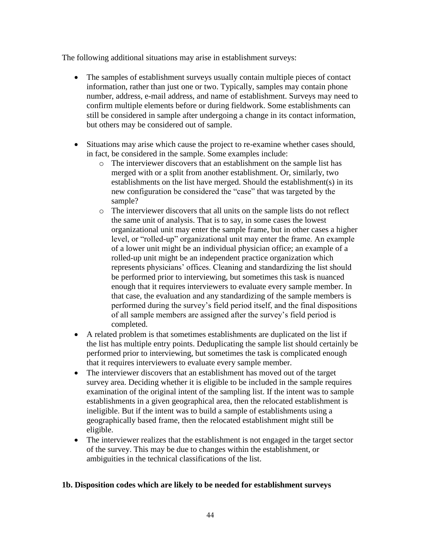The following additional situations may arise in establishment surveys:

- The samples of establishment surveys usually contain multiple pieces of contact information, rather than just one or two. Typically, samples may contain phone number, address, e-mail address, and name of establishment. Surveys may need to confirm multiple elements before or during fieldwork. Some establishments can still be considered in sample after undergoing a change in its contact information, but others may be considered out of sample.
- Situations may arise which cause the project to re-examine whether cases should, in fact, be considered in the sample. Some examples include:
	- o The interviewer discovers that an establishment on the sample list has merged with or a split from another establishment. Or, similarly, two establishments on the list have merged. Should the establishment(s) in its new configuration be considered the "case" that was targeted by the sample?
	- o The interviewer discovers that all units on the sample lists do not reflect the same unit of analysis. That is to say, in some cases the lowest organizational unit may enter the sample frame, but in other cases a higher level, or "rolled-up" organizational unit may enter the frame. An example of a lower unit might be an individual physician office; an example of a rolled-up unit might be an independent practice organization which represents physicians' offices. Cleaning and standardizing the list should be performed prior to interviewing, but sometimes this task is nuanced enough that it requires interviewers to evaluate every sample member. In that case, the evaluation and any standardizing of the sample members is performed during the survey's field period itself, and the final dispositions of all sample members are assigned after the survey's field period is completed.
- A related problem is that sometimes establishments are duplicated on the list if the list has multiple entry points. Deduplicating the sample list should certainly be performed prior to interviewing, but sometimes the task is complicated enough that it requires interviewers to evaluate every sample member.
- The interviewer discovers that an establishment has moved out of the target survey area. Deciding whether it is eligible to be included in the sample requires examination of the original intent of the sampling list. If the intent was to sample establishments in a given geographical area, then the relocated establishment is ineligible. But if the intent was to build a sample of establishments using a geographically based frame, then the relocated establishment might still be eligible.
- The interviewer realizes that the establishment is not engaged in the target sector of the survey. This may be due to changes within the establishment, or ambiguities in the technical classifications of the list.

### **1b. Disposition codes which are likely to be needed for establishment surveys**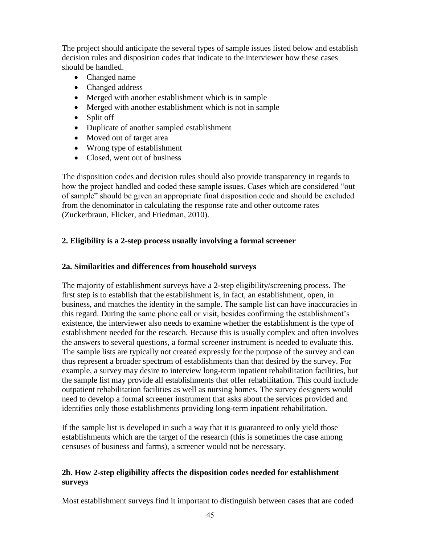The project should anticipate the several types of sample issues listed below and establish decision rules and disposition codes that indicate to the interviewer how these cases should be handled.

- Changed name
- Changed address
- Merged with another establishment which is in sample
- Merged with another establishment which is not in sample
- Split off
- Duplicate of another sampled establishment
- Moved out of target area
- Wrong type of establishment
- Closed, went out of business

The disposition codes and decision rules should also provide transparency in regards to how the project handled and coded these sample issues. Cases which are considered "out of sample" should be given an appropriate final disposition code and should be excluded from the denominator in calculating the response rate and other outcome rates (Zuckerbraun, Flicker, and Friedman, 2010).

### **2. Eligibility is a 2-step process usually involving a formal screener**

### **2a. Similarities and differences from household surveys**

The majority of establishment surveys have a 2-step eligibility/screening process. The first step is to establish that the establishment is, in fact, an establishment, open, in business, and matches the identity in the sample. The sample list can have inaccuracies in this regard. During the same phone call or visit, besides confirming the establishment's existence, the interviewer also needs to examine whether the establishment is the type of establishment needed for the research. Because this is usually complex and often involves the answers to several questions, a formal screener instrument is needed to evaluate this. The sample lists are typically not created expressly for the purpose of the survey and can thus represent a broader spectrum of establishments than that desired by the survey. For example, a survey may desire to interview long-term inpatient rehabilitation facilities, but the sample list may provide all establishments that offer rehabilitation. This could include outpatient rehabilitation facilities as well as nursing homes. The survey designers would need to develop a formal screener instrument that asks about the services provided and identifies only those establishments providing long-term inpatient rehabilitation.

If the sample list is developed in such a way that it is guaranteed to only yield those establishments which are the target of the research (this is sometimes the case among censuses of business and farms), a screener would not be necessary.

### **2b. How 2-step eligibility affects the disposition codes needed for establishment surveys**

Most establishment surveys find it important to distinguish between cases that are coded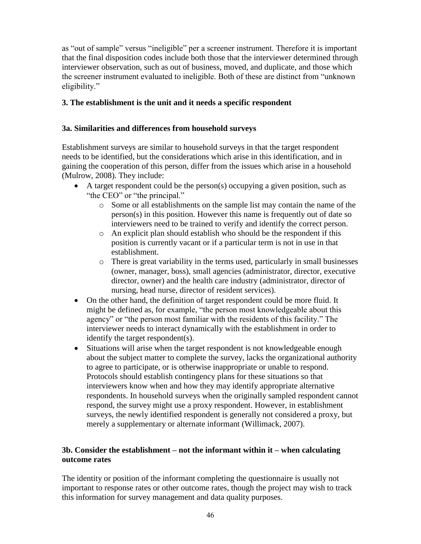as "out of sample" versus "ineligible" per a screener instrument. Therefore it is important that the final disposition codes include both those that the interviewer determined through interviewer observation, such as out of business, moved, and duplicate, and those which the screener instrument evaluated to ineligible. Both of these are distinct from "unknown eligibility."

### **3. The establishment is the unit and it needs a specific respondent**

### **3a. Similarities and differences from household surveys**

Establishment surveys are similar to household surveys in that the target respondent needs to be identified, but the considerations which arise in this identification, and in gaining the cooperation of this person, differ from the issues which arise in a household (Mulrow, 2008). They include:

- $\bullet$  A target respondent could be the person(s) occupying a given position, such as "the CEO" or "the principal."
	- o Some or all establishments on the sample list may contain the name of the person(s) in this position. However this name is frequently out of date so interviewers need to be trained to verify and identify the correct person.
	- o An explicit plan should establish who should be the respondent if this position is currently vacant or if a particular term is not in use in that establishment.
	- o There is great variability in the terms used, particularly in small businesses (owner, manager, boss), small agencies (administrator, director, executive director, owner) and the health care industry (administrator, director of nursing, head nurse, director of resident services).
- On the other hand, the definition of target respondent could be more fluid. It might be defined as, for example, "the person most knowledgeable about this agency" or "the person most familiar with the residents of this facility." The interviewer needs to interact dynamically with the establishment in order to identify the target respondent(s).
- Situations will arise when the target respondent is not knowledgeable enough about the subject matter to complete the survey, lacks the organizational authority to agree to participate, or is otherwise inappropriate or unable to respond. Protocols should establish contingency plans for these situations so that interviewers know when and how they may identify appropriate alternative respondents. In household surveys when the originally sampled respondent cannot respond, the survey might use a proxy respondent. However, in establishment surveys, the newly identified respondent is generally not considered a proxy, but merely a supplementary or alternate informant (Willimack, 2007).

### **3b. Consider the establishment – not the informant within it – when calculating outcome rates**

The identity or position of the informant completing the questionnaire is usually not important to response rates or other outcome rates, though the project may wish to track this information for survey management and data quality purposes.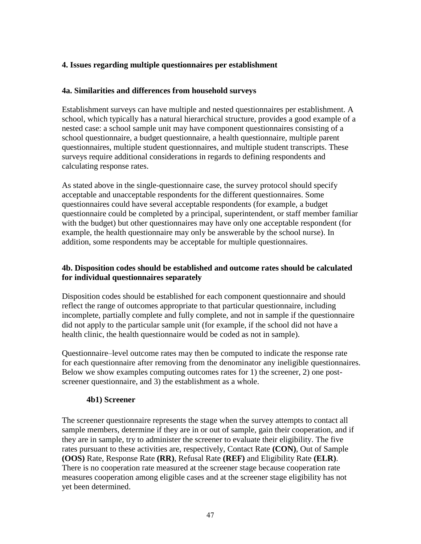### **4. Issues regarding multiple questionnaires per establishment**

### **4a. Similarities and differences from household surveys**

Establishment surveys can have multiple and nested questionnaires per establishment. A school, which typically has a natural hierarchical structure, provides a good example of a nested case: a school sample unit may have component questionnaires consisting of a school questionnaire, a budget questionnaire, a health questionnaire, multiple parent questionnaires, multiple student questionnaires, and multiple student transcripts. These surveys require additional considerations in regards to defining respondents and calculating response rates.

As stated above in the single-questionnaire case, the survey protocol should specify acceptable and unacceptable respondents for the different questionnaires. Some questionnaires could have several acceptable respondents (for example, a budget questionnaire could be completed by a principal, superintendent, or staff member familiar with the budget) but other questionnaires may have only one acceptable respondent (for example, the health questionnaire may only be answerable by the school nurse). In addition, some respondents may be acceptable for multiple questionnaires.

### **4b. Disposition codes should be established and outcome rates should be calculated for individual questionnaires separately**

Disposition codes should be established for each component questionnaire and should reflect the range of outcomes appropriate to that particular questionnaire, including incomplete, partially complete and fully complete, and not in sample if the questionnaire did not apply to the particular sample unit (for example, if the school did not have a health clinic, the health questionnaire would be coded as not in sample).

Questionnaire–level outcome rates may then be computed to indicate the response rate for each questionnaire after removing from the denominator any ineligible questionnaires. Below we show examples computing outcomes rates for 1) the screener, 2) one postscreener questionnaire, and 3) the establishment as a whole.

### **4b1) Screener**

The screener questionnaire represents the stage when the survey attempts to contact all sample members, determine if they are in or out of sample, gain their cooperation, and if they are in sample, try to administer the screener to evaluate their eligibility. The five rates pursuant to these activities are, respectively, Contact Rate **(CON)**, Out of Sample **(OOS)** Rate, Response Rate **(RR)**, Refusal Rate **(REF)** and Eligibility Rate **(ELR)**. There is no cooperation rate measured at the screener stage because cooperation rate measures cooperation among eligible cases and at the screener stage eligibility has not yet been determined.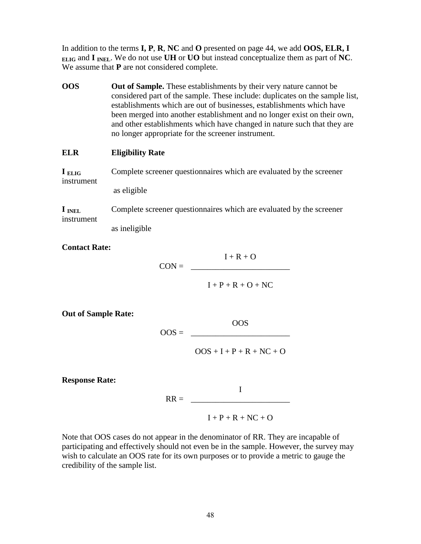In addition to the terms **I, P**, **R**, **NC** and **O** presented on page 44, we add **OOS, ELR, I ELIG** and **I INEL**. We do not use **UH** or **UO** but instead conceptualize them as part of **NC**. We assume that **P** are not considered complete.

**OOS Out of Sample.** These establishments by their very nature cannot be considered part of the sample. These include: duplicates on the sample list, establishments which are out of businesses, establishments which have been merged into another establishment and no longer exist on their own, and other establishments which have changed in nature such that they are no longer appropriate for the screener instrument.

### **ELR Eligibility Rate**

**I ELIG** Complete screener questionnaires which are evaluated by the screener instrument as eligible

**I INEL** Complete screener questionnaires which are evaluated by the screener instrument

as ineligible

**Contact Rate:** 

 $I + R + O$  $CON =$ 

 $I + P + R + O + NC$ 

**Out of Sample Rate:**

$$
OOS = \overline{\qquad \qquad }
$$

 $OOS + I + P + R + NC + O$ 

OOS

**Response Rate:**

I  $RR =$ 

 $I + P + R + NC + O$ 

Note that OOS cases do not appear in the denominator of RR. They are incapable of participating and effectively should not even be in the sample. However, the survey may wish to calculate an OOS rate for its own purposes or to provide a metric to gauge the credibility of the sample list.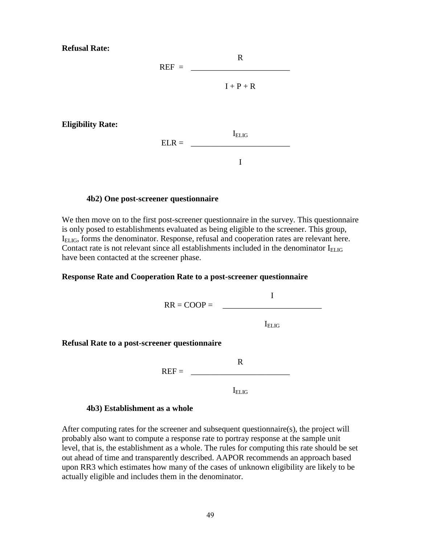**Refusal Rate:**

**Eligibility Rate:**



I

#### **4b2) One post-screener questionnaire**

We then move on to the first post-screener questionnaire in the survey. This questionnaire is only posed to establishments evaluated as being eligible to the screener. This group, I<sub>ELIG</sub>, forms the denominator. Response, refusal and cooperation rates are relevant here. Contact rate is not relevant since all establishments included in the denominator  $I_{\text{ELIG}}$ have been contacted at the screener phase.

#### **Response Rate and Cooperation Rate to a post-screener questionnaire**



#### **4b3) Establishment as a whole**

After computing rates for the screener and subsequent questionnaire(s), the project will probably also want to compute a response rate to portray response at the sample unit level, that is, the establishment as a whole. The rules for computing this rate should be set out ahead of time and transparently described. AAPOR recommends an approach based upon RR3 which estimates how many of the cases of unknown eligibility are likely to be actually eligible and includes them in the denominator.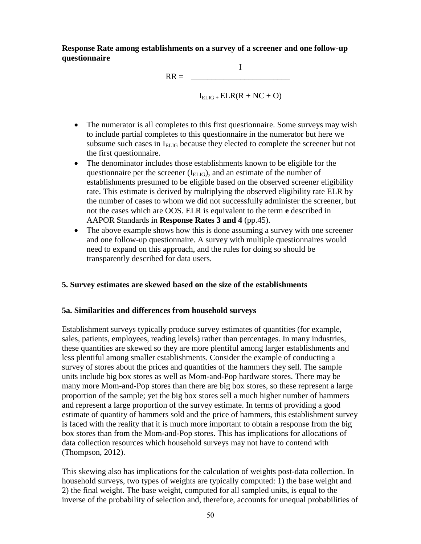**Response Rate among establishments on a survey of a screener and one follow-up questionnaire**

> I  $RR =$  $I_{ELIG}$  +  $ELR(R + NC + O)$

- The numerator is all completes to this first questionnaire. Some surveys may wish to include partial completes to this questionnaire in the numerator but here we subsume such cases in  $I_{ELIG}$  because they elected to complete the screener but not the first questionnaire.
- The denominator includes those establishments known to be eligible for the questionnaire per the screener  $(I<sub>ELIG</sub>)$ , and an estimate of the number of establishments presumed to be eligible based on the observed screener eligibility rate. This estimate is derived by multiplying the observed eligibility rate ELR by the number of cases to whom we did not successfully administer the screener, but not the cases which are OOS. ELR is equivalent to the term **e** described in AAPOR Standards in **Response Rates 3 and 4** (pp.45).
- The above example shows how this is done assuming a survey with one screener and one follow-up questionnaire. A survey with multiple questionnaires would need to expand on this approach, and the rules for doing so should be transparently described for data users.

### **5. Survey estimates are skewed based on the size of the establishments**

### **5a. Similarities and differences from household surveys**

Establishment surveys typically produce survey estimates of quantities (for example, sales, patients, employees, reading levels) rather than percentages. In many industries, these quantities are skewed so they are more plentiful among larger establishments and less plentiful among smaller establishments. Consider the example of conducting a survey of stores about the prices and quantities of the hammers they sell. The sample units include big box stores as well as Mom-and-Pop hardware stores. There may be many more Mom-and-Pop stores than there are big box stores, so these represent a large proportion of the sample; yet the big box stores sell a much higher number of hammers and represent a large proportion of the survey estimate. In terms of providing a good estimate of quantity of hammers sold and the price of hammers, this establishment survey is faced with the reality that it is much more important to obtain a response from the big box stores than from the Mom-and-Pop stores. This has implications for allocations of data collection resources which household surveys may not have to contend with (Thompson, 2012).

This skewing also has implications for the calculation of weights post-data collection. In household surveys, two types of weights are typically computed: 1) the base weight and 2) the final weight. The base weight, computed for all sampled units, is equal to the inverse of the probability of selection and, therefore, accounts for unequal probabilities of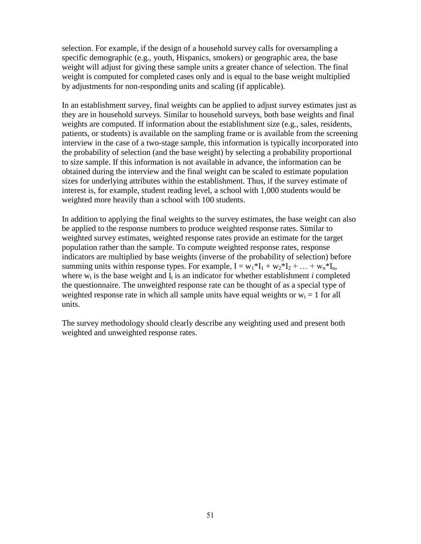selection. For example, if the design of a household survey calls for oversampling a specific demographic (e.g., youth, Hispanics, smokers) or geographic area, the base weight will adjust for giving these sample units a greater chance of selection. The final weight is computed for completed cases only and is equal to the base weight multiplied by adjustments for non-responding units and scaling (if applicable).

In an establishment survey, final weights can be applied to adjust survey estimates just as they are in household surveys. Similar to household surveys, both base weights and final weights are computed. If information about the establishment size (e.g., sales, residents, patients, or students) is available on the sampling frame or is available from the screening interview in the case of a two-stage sample, this information is typically incorporated into the probability of selection (and the base weight) by selecting a probability proportional to size sample. If this information is not available in advance, the information can be obtained during the interview and the final weight can be scaled to estimate population sizes for underlying attributes within the establishment. Thus, if the survey estimate of interest is, for example, student reading level, a school with 1,000 students would be weighted more heavily than a school with 100 students.

In addition to applying the final weights to the survey estimates, the base weight can also be applied to the response numbers to produce weighted response rates. Similar to weighted survey estimates, weighted response rates provide an estimate for the target population rather than the sample. To compute weighted response rates, response indicators are multiplied by base weights (inverse of the probability of selection) before summing units within response types. For example,  $I = w_1 * I_1 + w_2 * I_2 + ... + w_n * I_n$ , where  $w_i$  is the base weight and  $I_i$  is an indicator for whether establishment *i* completed the questionnaire. The unweighted response rate can be thought of as a special type of weighted response rate in which all sample units have equal weights or  $w_i = 1$  for all units.

The survey methodology should clearly describe any weighting used and present both weighted and unweighted response rates.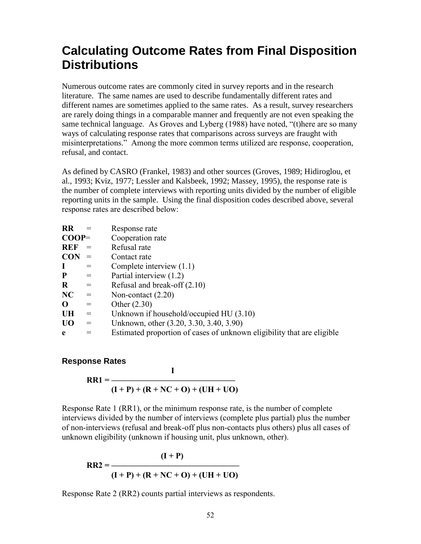### **Calculating Outcome Rates from Final Disposition Distributions**

Numerous outcome rates are commonly cited in survey reports and in the research literature. The same names are used to describe fundamentally different rates and different names are sometimes applied to the same rates. As a result, survey researchers are rarely doing things in a comparable manner and frequently are not even speaking the same technical language. As Groves and Lyberg (1988) have noted, "(t)here are so many ways of calculating response rates that comparisons across surveys are fraught with misinterpretations." Among the more common terms utilized are response, cooperation, refusal, and contact.

As defined by CASRO (Frankel, 1983) and other sources (Groves, 1989; Hidiroglou, et al., 1993; Kviz, 1977; Lessler and Kalsbeek, 1992; Massey, 1995), the response rate is the number of complete interviews with reporting units divided by the number of eligible reporting units in the sample. Using the final disposition codes described above, several response rates are described below:

| <b>RR</b>      |                   | Response rate                                                          |
|----------------|-------------------|------------------------------------------------------------------------|
| $COOP=$        |                   | Cooperation rate                                                       |
| <b>REF</b>     |                   | Refusal rate                                                           |
| <b>CON</b>     |                   | Contact rate                                                           |
| L              | $=$               | Complete interview $(1.1)$                                             |
| ${\bf P}$      | $=$               | Partial interview (1.2)                                                |
| $\bf R$        | $\alpha = \alpha$ | Refusal and break-off $(2.10)$                                         |
| NC             | $=$               | Non-contact $(2.20)$                                                   |
| $\mathbf 0$    | $=$               | Other $(2.30)$                                                         |
| <b>UH</b>      | $=$               | Unknown if household/occupied $HU(3.10)$                               |
| U <sub>0</sub> | $=$               | Unknown, other (3.20, 3.30, 3.40, 3.90)                                |
| e              |                   | Estimated proportion of cases of unknown eligibility that are eligible |
|                |                   |                                                                        |

### **Response Rates**

$$
RR1 = \frac{I}{(I + P) + (R + NC + O) + (UH + UO)}
$$

Response Rate 1 (RR1), or the minimum response rate, is the number of complete interviews divided by the number of interviews (complete plus partial) plus the number of non-interviews (refusal and break-off plus non-contacts plus others) plus all cases of unknown eligibility (unknown if housing unit, plus unknown, other).

$$
RR2 = \frac{(I + P)}{(I + P) + (R + NC + O) + (UH + UO)}
$$

Response Rate 2 (RR2) counts partial interviews as respondents.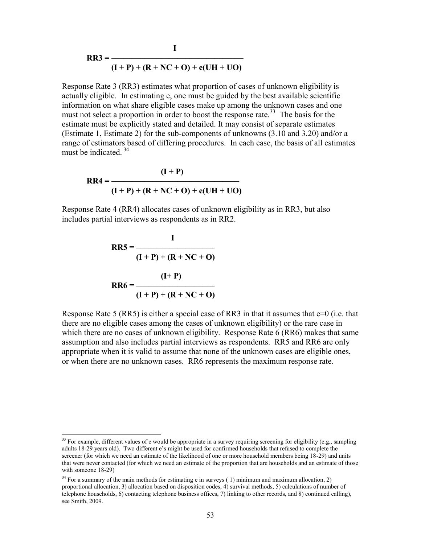$$
RR3 = \frac{1}{(I + P) + (R + NC + O) + e(UH + UO)}
$$

 **I**

Response Rate 3 (RR3) estimates what proportion of cases of unknown eligibility is actually eligible. In estimating e, one must be guided by the best available scientific information on what share eligible cases make up among the unknown cases and one must not select a proportion in order to boost the response rate.<sup>33</sup> The basis for the estimate must be explicitly stated and detailed. It may consist of separate estimates (Estimate 1, Estimate 2) for the sub-components of unknowns (3.10 and 3.20) and/or a range of estimators based of differing procedures. In each case, the basis of all estimates must be indicated  $34$ 

$$
RR4 = \frac{(I + P)}{(I + P) + (R + NC + O) + e(UH + UO)}
$$

Response Rate 4 (RR4) allocates cases of unknown eligibility as in RR3, but also includes partial interviews as respondents as in RR2.

$$
RR5 = \frac{I}{(I+P) + (R+NC+O)}
$$
  

$$
RR6 = \frac{(I+P)}{(I+P) + (R+NC+O)}
$$

 $\overline{\phantom{a}}$ 

Response Rate 5 (RR5) is either a special case of RR3 in that it assumes that  $e=0$  (i.e. that there are no eligible cases among the cases of unknown eligibility) or the rare case in which there are no cases of unknown eligibility. Response Rate 6 (RR6) makes that same assumption and also includes partial interviews as respondents. RR5 and RR6 are only appropriate when it is valid to assume that none of the unknown cases are eligible ones, or when there are no unknown cases. RR6 represents the maximum response rate.

 $33$  For example, different values of e would be appropriate in a survey requiring screening for eligibility (e.g., sampling adults 18-29 years old). Two different e's might be used for confirmed households that refused to complete the screener (for which we need an estimate of the likelihood of one or more household members being 18-29) and units that were never contacted (for which we need an estimate of the proportion that are households and an estimate of those with someone 18-29)

 $34$  For a summary of the main methods for estimating e in surveys (1) minimum and maximum allocation, 2) proportional allocation, 3) allocation based on disposition codes, 4) survival methods, 5) calculations of number of telephone households, 6) contacting telephone business offices, 7) linking to other records, and 8) continued calling), see Smith, 2009.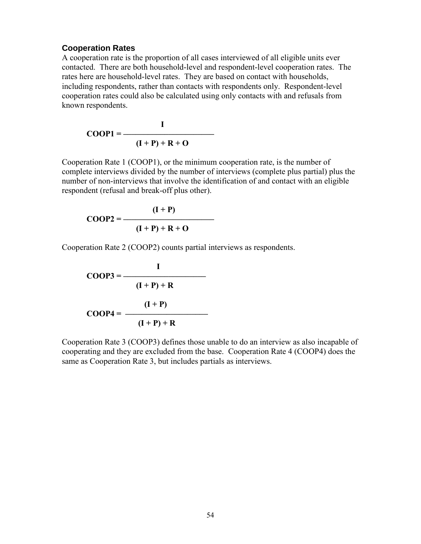#### **Cooperation Rates**

A cooperation rate is the proportion of all cases interviewed of all eligible units ever contacted. There are both household-level and respondent-level cooperation rates. The rates here are household-level rates. They are based on contact with households, including respondents, rather than contacts with respondents only. Respondent-level cooperation rates could also be calculated using only contacts with and refusals from known respondents.

$$
COOP1 = \frac{I}{(I+P) + R + O}
$$

Cooperation Rate 1 (COOP1), or the minimum cooperation rate, is the number of complete interviews divided by the number of interviews (complete plus partial) plus the number of non-interviews that involve the identification of and contact with an eligible respondent (refusal and break-off plus other).

$$
COOP2 = \frac{(I+P)}{(I+P)+R+O}
$$

Cooperation Rate 2 (COOP2) counts partial interviews as respondents.

$$
COOP3 = \frac{I}{(I+P)+R}
$$

$$
COOP4 = \frac{(I+P)}{(I+P)+R}
$$

Cooperation Rate 3 (COOP3) defines those unable to do an interview as also incapable of cooperating and they are excluded from the base. Cooperation Rate 4 (COOP4) does the same as Cooperation Rate 3, but includes partials as interviews.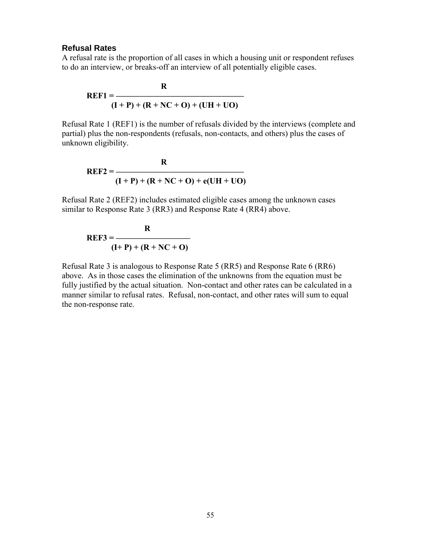#### **Refusal Rates**

A refusal rate is the proportion of all cases in which a housing unit or respondent refuses to do an interview, or breaks-off an interview of all potentially eligible cases.

$$
REF1 = \frac{R}{(I + P) + (R + NC + O) + (UH + UO)}
$$

Refusal Rate 1 (REF1) is the number of refusals divided by the interviews (complete and partial) plus the non-respondents (refusals, non-contacts, and others) plus the cases of unknown eligibility.

$$
REF2 = \frac{R}{(I + P) + (R + NC + O) + e(UH + UO)}
$$

Refusal Rate 2 (REF2) includes estimated eligible cases among the unknown cases similar to Response Rate 3 (RR3) and Response Rate 4 (RR4) above.

$$
REF3 = \frac{R}{(I+P) + (R+NC+O)}
$$

Refusal Rate 3 is analogous to Response Rate 5 (RR5) and Response Rate 6 (RR6) above. As in those cases the elimination of the unknowns from the equation must be fully justified by the actual situation. Non-contact and other rates can be calculated in a manner similar to refusal rates. Refusal, non-contact, and other rates will sum to equal the non-response rate.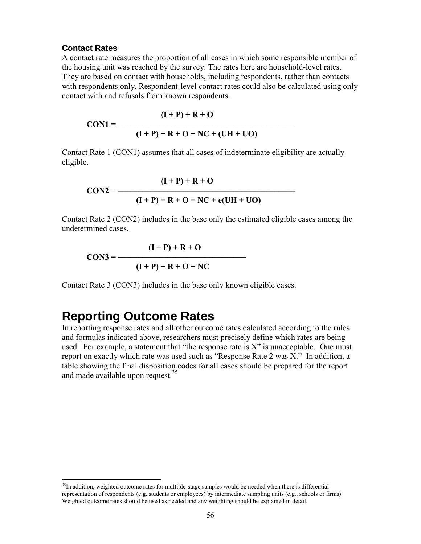#### **Contact Rates**

A contact rate measures the proportion of all cases in which some responsible member of the housing unit was reached by the survey. The rates here are household-level rates. They are based on contact with households, including respondents, rather than contacts with respondents only. Respondent-level contact rates could also be calculated using only contact with and refusals from known respondents.

$$
CON1 = \frac{(I+P) + R + O}{(I+P) + R + O + NC + (UH + UO)}
$$

Contact Rate 1 (CON1) assumes that all cases of indeterminate eligibility are actually eligible.

$$
CON2 = \frac{(I + P) + R + O}{(I + P) + R + O + NC + e(UH + UO)}
$$

Contact Rate 2 (CON2) includes in the base only the estimated eligible cases among the undetermined cases.

$$
CON3 = \frac{(I+P) + R + O}{(I+P) + R + O + NC}
$$

Contact Rate 3 (CON3) includes in the base only known eligible cases.

### **Reporting Outcome Rates**

l

In reporting response rates and all other outcome rates calculated according to the rules and formulas indicated above, researchers must precisely define which rates are being used. For example, a statement that "the response rate is  $X$ " is unacceptable. One must report on exactly which rate was used such as "Response Rate 2 was X." In addition, a table showing the final disposition codes for all cases should be prepared for the report and made available upon request.<sup>35</sup>

<sup>&</sup>lt;sup>35</sup>In addition, weighted outcome rates for multiple-stage samples would be needed when there is differential representation of respondents (e.g. students or employees) by intermediate sampling units (e.g., schools or firms). Weighted outcome rates should be used as needed and any weighting should be explained in detail.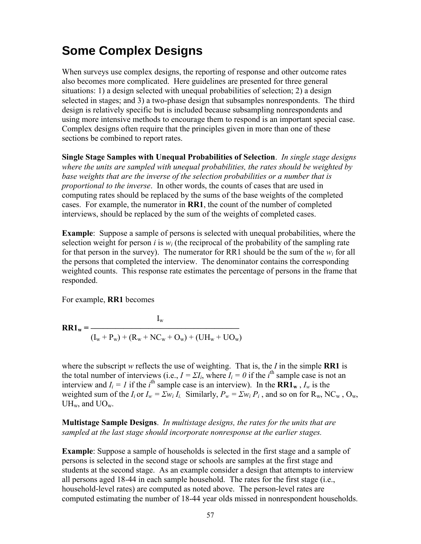### **Some Complex Designs**

When surveys use complex designs, the reporting of response and other outcome rates also becomes more complicated. Here guidelines are presented for three general situations: 1) a design selected with unequal probabilities of selection; 2) a design selected in stages; and 3) a two-phase design that subsamples nonrespondents. The third design is relatively specific but is included because subsampling nonrespondents and using more intensive methods to encourage them to respond is an important special case. Complex designs often require that the principles given in more than one of these sections be combined to report rates.

**Single Stage Samples with Unequal Probabilities of Selection**. *In single stage designs where the units are sampled with unequal probabilities, the rates should be weighted by base weights that are the inverse of the selection probabilities or a number that is proportional to the inverse*. In other words, the counts of cases that are used in computing rates should be replaced by the sums of the base weights of the completed cases. For example, the numerator in **RR1**, the count of the number of completed interviews, should be replaced by the sum of the weights of completed cases.

**Example**: Suppose a sample of persons is selected with unequal probabilities, where the selection weight for person *i* is  $w_i$  (the reciprocal of the probability of the sampling rate for that person in the survey). The numerator for RR1 should be the sum of the  $w_i$  for all the persons that completed the interview. The denominator contains the corresponding weighted counts. This response rate estimates the percentage of persons in the frame that responded.

For example, **RR1** becomes

$$
RRI_w = \frac{I_w}{(I_w + P_w) + (R_w + NC_w + O_w) + (UH_w + UO_w)}
$$

where the subscript  $w$  reflects the use of weighting. That is, the  $I$  in the simple **RR1** is the total number of interviews (i.e.,  $I = \Sigma I_i$ , where  $I_i = 0$  if the *i*<sup>th</sup> sample case is not an interview and  $I_i = I$  if the *i*<sup>th</sup> sample case is an interview). In the **RR1w**,  $I_w$  is the weighted sum of the  $I_i$  or  $I_w = \sum w_i I_i$ . Similarly,  $P_w = \sum w_i P_i$ , and so on for  $R_w$ , NC<sub>w</sub>, O<sub>w</sub>,  $UH_w$ , and  $UO_w$ .

**Multistage Sample Designs**. *In multistage designs, the rates for the units that are sampled at the last stage should incorporate nonresponse at the earlier stages.*

**Example**: Suppose a sample of households is selected in the first stage and a sample of persons is selected in the second stage or schools are samples at the first stage and students at the second stage. As an example consider a design that attempts to interview all persons aged 18-44 in each sample household. The rates for the first stage (i.e., household-level rates) are computed as noted above. The person-level rates are computed estimating the number of 18-44 year olds missed in nonrespondent households.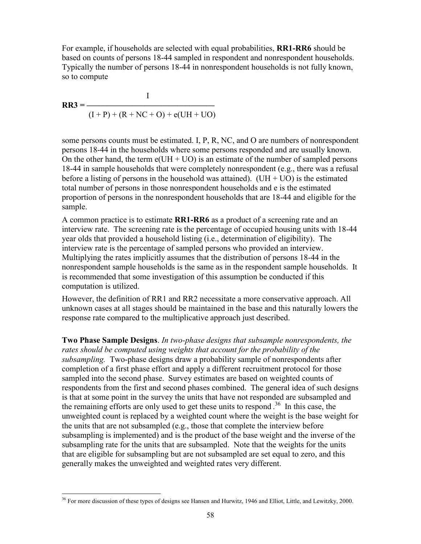For example, if households are selected with equal probabilities, **RR1-RR6** should be based on counts of persons 18-44 sampled in respondent and nonrespondent households. Typically the number of persons 18-44 in nonrespondent households is not fully known, so to compute

$$
RR3 = \frac{I}{(I + P) + (R + NC + O) + e(UH + UO)}
$$

some persons counts must be estimated. I, P, R, NC, and O are numbers of nonrespondent persons 18-44 in the households where some persons responded and are usually known. On the other hand, the term  $e(UH + UO)$  is an estimate of the number of sampled persons 18-44 in sample households that were completely nonrespondent (e.g., there was a refusal before a listing of persons in the household was attained). (UH  $+$  UO) is the estimated total number of persons in those nonrespondent households and e is the estimated proportion of persons in the nonrespondent households that are 18-44 and eligible for the sample.

A common practice is to estimate **RR1-RR6** as a product of a screening rate and an interview rate. The screening rate is the percentage of occupied housing units with 18-44 year olds that provided a household listing (i.e., determination of eligibility). The interview rate is the percentage of sampled persons who provided an interview. Multiplying the rates implicitly assumes that the distribution of persons 18-44 in the nonrespondent sample households is the same as in the respondent sample households. It is recommended that some investigation of this assumption be conducted if this computation is utilized.

However, the definition of RR1 and RR2 necessitate a more conservative approach. All unknown cases at all stages should be maintained in the base and this naturally lowers the response rate compared to the multiplicative approach just described.

**Two Phase Sample Designs**. *In two-phase designs that subsample nonrespondents, the rates should be computed using weights that account for the probability of the subsampling.* Two-phase designs draw a probability sample of nonrespondents after completion of a first phase effort and apply a different recruitment protocol for those sampled into the second phase. Survey estimates are based on weighted counts of respondents from the first and second phases combined. The general idea of such designs is that at some point in the survey the units that have not responded are subsampled and the remaining efforts are only used to get these units to respond . 36 In this case, the unweighted count is replaced by a weighted count where the weight is the base weight for the units that are not subsampled (e.g., those that complete the interview before subsampling is implemented) and is the product of the base weight and the inverse of the subsampling rate for the units that are subsampled. Note that the weights for the units that are eligible for subsampling but are not subsampled are set equal to zero, and this generally makes the unweighted and weighted rates very different.

l  $36$  For more discussion of these types of designs see Hansen and Hurwitz, 1946 and Elliot, Little, and Lewitzky, 2000.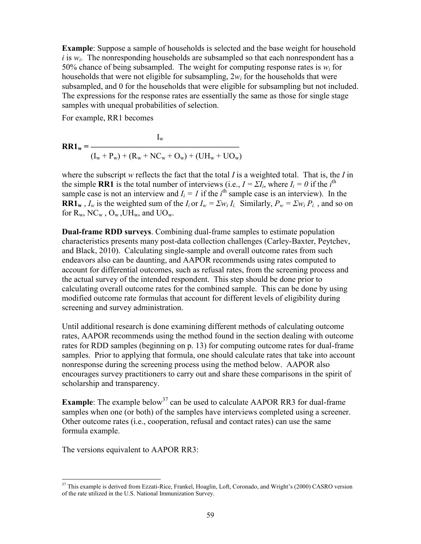**Example**: Suppose a sample of households is selected and the base weight for household  $i$  is  $w_i$ . The nonresponding households are subsampled so that each nonrespondent has a 50% chance of being subsampled. The weight for computing response rates is  $w_i$  for households that were not eligible for subsampling, 2*w<sup>i</sup>* for the households that were subsampled, and 0 for the households that were eligible for subsampling but not included. The expressions for the response rates are essentially the same as those for single stage samples with unequal probabilities of selection.

For example, RR1 becomes

$$
RR1_w = \frac{I_w}{(I_w + P_w) + (R_w + NC_w + O_w) + (UH_w + UO_w)}
$$

where the subscript *w* reflects the fact that the total *I* is a weighted total. That is, the *I* in the simple **RR1** is the total number of interviews (i.e.,  $I = \sum I_i$ , where  $I_i = 0$  if the *i*<sup>th</sup> sample case is not an interview and  $I_i = I$  if the  $i^{\text{th}}$  sample case is an interview). In the **RR1w**,  $I_w$  is the weighted sum of the  $I_i$  or  $I_w = \sum w_i I_i$ . Similarly,  $P_w = \sum w_i P_i$ , and so on for  $R_w$ ,  $NC_w$ ,  $O_w$ ,  $UH_w$ , and  $UO_w$ .

**Dual-frame RDD surveys**. Combining dual-frame samples to estimate population characteristics presents many post-data collection challenges (Carley-Baxter, Peytchev, and Black, 2010). Calculating single-sample and overall outcome rates from such endeavors also can be daunting, and AAPOR recommends using rates computed to account for differential outcomes, such as refusal rates, from the screening process and the actual survey of the intended respondent. This step should be done prior to calculating overall outcome rates for the combined sample. This can be done by using modified outcome rate formulas that account for different levels of eligibility during screening and survey administration.

Until additional research is done examining different methods of calculating outcome rates, AAPOR recommends using the method found in the section dealing with outcome rates for RDD samples (beginning on p. 13) for computing outcome rates for dual-frame samples. Prior to applying that formula, one should calculate rates that take into account nonresponse during the screening process using the method below. AAPOR also encourages survey practitioners to carry out and share these comparisons in the spirit of scholarship and transparency.

**Example**: The example below<sup>37</sup> can be used to calculate AAPOR RR3 for dual-frame samples when one (or both) of the samples have interviews completed using a screener. Other outcome rates (i.e., cooperation, refusal and contact rates) can use the same formula example.

The versions equivalent to AAPOR RR3:

 $\overline{\phantom{a}}$  $37$  This example is derived from Ezzati-Rice, Frankel, Hoaglin, Loft, Coronado, and Wright's (2000) CASRO version of the rate utilized in the U.S. National Immunization Survey.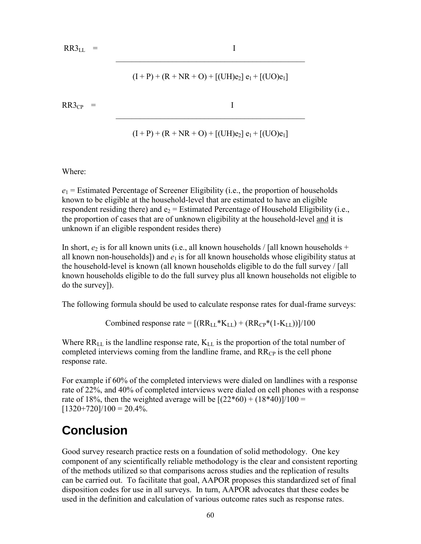$RR3_{LL}$  = I

 $(I + P) + (R + NR + O) + [(UH)e_2] e_1 + [(UO)e_1]$ 

 $\mathcal{L}_\text{max}$  and the contract of the contract of the contract of the contract of the contract of the contract of the contract of the contract of the contract of the contract of the contract of the contract of the contrac

 $RR3_{CP}$  = I

$$
(I + P) + (R + NR + O) + [(UH)e_2] e_1 + [(UO)e_1]
$$

 $\mathcal{L}_\mathcal{L}$  , where  $\mathcal{L}_\mathcal{L}$  is the set of the set of the set of the set of the set of the set of the set of the set of the set of the set of the set of the set of the set of the set of the set of the set of the

Where:

 $e_1$  = Estimated Percentage of Screener Eligibility (i.e., the proportion of households known to be eligible at the household-level that are estimated to have an eligible respondent residing there) and  $e_2$  = Estimated Percentage of Household Eligibility (i.e., the proportion of cases that are of unknown eligibility at the household-level and it is unknown if an eligible respondent resides there)

In short,  $e_2$  is for all known units (i.e., all known households / [all known households + all known non-households]) and  $e_1$  is for all known households whose eligibility status at the household-level is known (all known households eligible to do the full survey / [all known households eligible to do the full survey plus all known households not eligible to do the survey]).

The following formula should be used to calculate response rates for dual-frame surveys:

Combined response rate =  $[(RR_{LL} * K_{LL}) + (RR_{CP} * (1 - K_{LL}))]/100$ 

Where  $RR_{LL}$  is the landline response rate,  $K_{LL}$  is the proportion of the total number of completed interviews coming from the landline frame, and  $RR<sub>CP</sub>$  is the cell phone response rate.

For example if 60% of the completed interviews were dialed on landlines with a response rate of 22%, and 40% of completed interviews were dialed on cell phones with a response rate of 18%, then the weighted average will be  $[(22*60) + (18*40)]/100 =$  $[1320+720]/100 = 20.4\%$ .

# **Conclusion**

Good survey research practice rests on a foundation of solid methodology. One key component of any scientifically reliable methodology is the clear and consistent reporting of the methods utilized so that comparisons across studies and the replication of results can be carried out. To facilitate that goal, AAPOR proposes this standardized set of final disposition codes for use in all surveys. In turn, AAPOR advocates that these codes be used in the definition and calculation of various outcome rates such as response rates.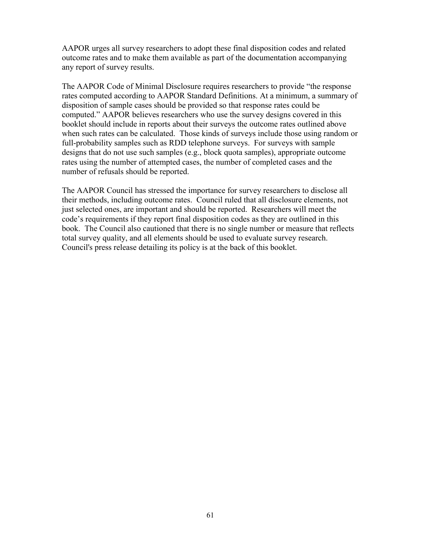AAPOR urges all survey researchers to adopt these final disposition codes and related outcome rates and to make them available as part of the documentation accompanying any report of survey results.

The AAPOR Code of Minimal Disclosure requires researchers to provide "the response rates computed according to AAPOR Standard Definitions. At a minimum, a summary of disposition of sample cases should be provided so that response rates could be computed." AAPOR believes researchers who use the survey designs covered in this booklet should include in reports about their surveys the outcome rates outlined above when such rates can be calculated. Those kinds of surveys include those using random or full-probability samples such as RDD telephone surveys. For surveys with sample designs that do not use such samples (e.g., block quota samples), appropriate outcome rates using the number of attempted cases, the number of completed cases and the number of refusals should be reported.

The AAPOR Council has stressed the importance for survey researchers to disclose all their methods, including outcome rates. Council ruled that all disclosure elements, not just selected ones, are important and should be reported. Researchers will meet the code's requirements if they report final disposition codes as they are outlined in this book. The Council also cautioned that there is no single number or measure that reflects total survey quality, and all elements should be used to evaluate survey research. Council's press release detailing its policy is at the back of this booklet.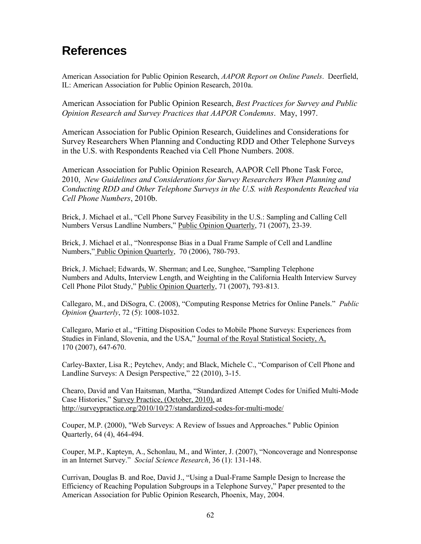### **References**

American Association for Public Opinion Research, *AAPOR Report on Online Panels*. Deerfield, IL: American Association for Public Opinion Research, 2010a.

American Association for Public Opinion Research, *Best Practices for Survey and Public Opinion Research and Survey Practices that AAPOR Condemns*. May, 1997.

American Association for Public Opinion Research, Guidelines and Considerations for Survey Researchers When Planning and Conducting RDD and Other Telephone Surveys in the U.S. with Respondents Reached via Cell Phone Numbers. 2008.

American Association for Public Opinion Research, AAPOR Cell Phone Task Force, 2010, *New Guidelines and Considerations for Survey Researchers When Planning and Conducting RDD and Other Telephone Surveys in the U.S. with Respondents Reached via Cell Phone Numbers*, 2010b.

Brick, J. Michael et al., "Cell Phone Survey Feasibility in the U.S.: Sampling and Calling Cell Numbers Versus Landline Numbers," Public Opinion Quarterly, 71 (2007), 23-39.

Brick, J. Michael et al., "Nonresponse Bias in a Dual Frame Sample of Cell and Landline Numbers," Public Opinion Quarterly, 70 (2006), 780-793.

Brick, J. Michael; Edwards, W. Sherman; and Lee, Sunghee, "Sampling Telephone Numbers and Adults, Interview Length, and Weighting in the California Health Interview Survey Cell Phone Pilot Study," Public Opinion Quarterly, 71 (2007), 793-813.

Callegaro, M., and DiSogra, C. (2008), "Computing Response Metrics for Online Panels." *Public Opinion Quarterly*, 72 (5): 1008-1032.

Callegaro, Mario et al., "Fitting Disposition Codes to Mobile Phone Surveys: Experiences from Studies in Finland, Slovenia, and the USA," Journal of the Royal Statistical Society, A, 170 (2007), 647-670.

Carley-Baxter, Lisa R.; Peytchev, Andy; and Black, Michele C., "Comparison of Cell Phone and Landline Surveys: A Design Perspective," 22 (2010), 3-15.

Chearo, David and Van Haitsman, Martha, "Standardized Attempt Codes for Unified Multi-Mode Case Histories," Survey Practice, (October, 2010), at http://surveypractice.org/2010/10/27/standardized-codes-for-multi-mode/

Couper, M.P. (2000), "Web Surveys: A Review of Issues and Approaches." Public Opinion Quarterly, 64 (4), 464-494.

Couper, M.P., Kapteyn, A., Schonlau, M., and Winter, J. (2007), "Noncoverage and Nonresponse in an Internet Survey." *Social Science Research*, 36 (1): 131-148.

Currivan, Douglas B. and Roe, David J., "Using a Dual-Frame Sample Design to Increase the Efficiency of Reaching Population Subgroups in a Telephone Survey," Paper presented to the American Association for Public Opinion Research, Phoenix, May, 2004.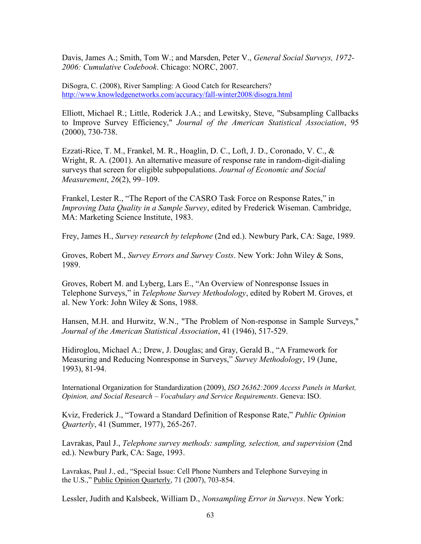Davis, James A.; Smith, Tom W.; and Marsden, Peter V., *General Social Surveys, 1972- 2006: Cumulative Codebook*. Chicago: NORC, 2007.

DiSogra, C. (2008), River Sampling: A Good Catch for Researchers? <http://www.knowledgenetworks.com/accuracy/fall-winter2008/disogra.html>

Elliott, Michael R.; Little, Roderick J.A.; and Lewitsky, Steve, "Subsampling Callbacks to Improve Survey Efficiency," *Journal of the American Statistical Association*, 95 (2000), 730-738.

Ezzati-Rice, T. M., Frankel, M. R., Hoaglin, D. C., Loft, J. D., Coronado, V. C., & Wright, R. A. (2001). An alternative measure of response rate in random-digit-dialing surveys that screen for eligible subpopulations. *Journal of Economic and Social Measurement*, *26*(2), 99–109.

Frankel, Lester R., "The Report of the CASRO Task Force on Response Rates," in *Improving Data Quality in a Sample Survey*, edited by Frederick Wiseman. Cambridge, MA: Marketing Science Institute, 1983.

Frey, James H., *Survey research by telephone* (2nd ed.). Newbury Park, CA: Sage, 1989.

Groves, Robert M., *Survey Errors and Survey Costs*. New York: John Wiley & Sons, 1989.

Groves, Robert M. and Lyberg, Lars E., "An Overview of Nonresponse Issues in Telephone Surveys," in *Telephone Survey Methodology*, edited by Robert M. Groves, et al. New York: John Wiley & Sons, 1988.

Hansen, M.H. and Hurwitz, W.N., "The Problem of Non-response in Sample Surveys," *Journal of the American Statistical Association*, 41 (1946), 517-529.

Hidiroglou, Michael A.; Drew, J. Douglas; and Gray, Gerald B., "A Framework for Measuring and Reducing Nonresponse in Surveys," *Survey Methodology*, 19 (June, 1993), 81-94.

International Organization for Standardization (2009), *ISO 26362:2009 Access Panels in Market, Opinion, and Social Research – Vocabulary and Service Requirements*. Geneva: ISO.

Kviz, Frederick J., "Toward a Standard Definition of Response Rate," *Public Opinion Quarterly*, 41 (Summer, 1977), 265-267.

Lavrakas, Paul J., *Telephone survey methods: sampling, selection, and supervision* (2nd ed.). Newbury Park, CA: Sage, 1993.

Lavrakas, Paul J., ed., "Special Issue: Cell Phone Numbers and Telephone Surveying in the U.S.," Public Opinion Quarterly, 71 (2007), 703-854.

Lessler, Judith and Kalsbeek, William D., *Nonsampling Error in Surveys*. New York: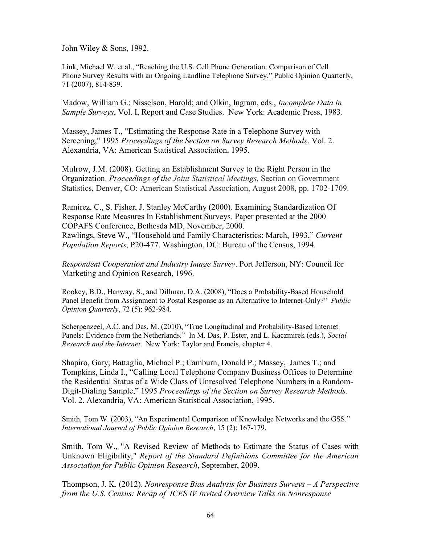John Wiley & Sons, 1992.

Link, Michael W. et al., "Reaching the U.S. Cell Phone Generation: Comparison of Cell Phone Survey Results with an Ongoing Landline Telephone Survey," Public Opinion Quarterly, 71 (2007), 814-839.

Madow, William G.; Nisselson, Harold; and Olkin, Ingram, eds., *Incomplete Data in Sample Surveys*, Vol. I, Report and Case Studies. New York: Academic Press, 1983.

Massey, James T., "Estimating the Response Rate in a Telephone Survey with Screening," 1995 *Proceedings of the Section on Survey Research Methods*. Vol. 2. Alexandria, VA: American Statistical Association, 1995.

Mulrow, J.M. (2008). Getting an Establishment Survey to the Right Person in the Organization. *Proceedings of the Joint Statistical Meetings,* Section on Government Statistics, Denver, CO: American Statistical Association, August 2008, pp. 1702-1709.

Ramirez, C., S. Fisher, J. Stanley McCarthy (2000). [Examining Standardization Of](http://www.fcsm.gov/committees/igen/pdf/Copafs00_final.pdf)  [Response Rate Measures In Establishment Surveys.](http://www.fcsm.gov/committees/igen/pdf/Copafs00_final.pdf) Paper presented at the 2000 COPAFS Conference, Bethesda MD, November, 2000. Rawlings, Steve W., "Household and Family Characteristics: March, 1993," *Current Population Reports*, P20-477. Washington, DC: Bureau of the Census, 1994.

*Respondent Cooperation and Industry Image Survey*. Port Jefferson, NY: Council for Marketing and Opinion Research, 1996.

Rookey, B.D., Hanway, S., and Dillman, D.A. (2008), "Does a Probability-Based Household Panel Benefit from Assignment to Postal Response as an Alternative to Internet-Only?" *Public Opinion Quarterly*, 72 (5): 962-984.

Scherpenzeel, A.C. and Das, M. (2010), "True Longitudinal and Probability-Based Internet Panels: Evidence from the Netherlands." In M. Das, P. Ester, and L. Kaczmirek (eds.), *Social Research and the Internet*. New York: Taylor and Francis, chapter 4.

Shapiro, Gary; Battaglia, Michael P.; Camburn, Donald P.; Massey, James T.; and Tompkins, Linda I., "Calling Local Telephone Company Business Offices to Determine the Residential Status of a Wide Class of Unresolved Telephone Numbers in a Random-Digit-Dialing Sample," 1995 *Proceedings of the Section on Survey Research Methods*. Vol. 2. Alexandria, VA: American Statistical Association, 1995.

Smith, Tom W. (2003), "An Experimental Comparison of Knowledge Networks and the GSS." *International Journal of Public Opinion Research*, 15 (2): 167-179.

Smith, Tom W., "A Revised Review of Methods to Estimate the Status of Cases with Unknown Eligibility," *Report of the Standard Definitions Committee for the American Association for Public Opinion Research*, September, 2009.

Thompson, J. K. (2012). *Nonresponse Bias Analysis for Business Surveys – A Perspective from the U.S. Census: Recap of ICES IV Invited Overview Talks on Nonresponse*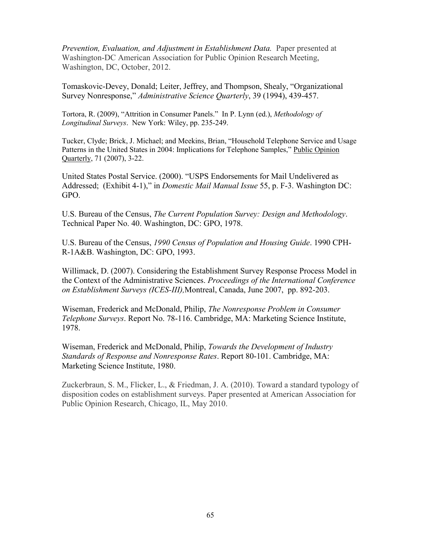*Prevention, Evaluation, and Adjustment in Establishment Data.* Paper presented at Washington-DC American Association for Public Opinion Research Meeting, Washington, DC, October, 2012.

Tomaskovic-Devey, Donald; Leiter, Jeffrey, and Thompson, Shealy, "Organizational Survey Nonresponse," *Administrative Science Quarterly*, 39 (1994), 439-457.

Tortora, R. (2009), "Attrition in Consumer Panels." In P. Lynn (ed.), *Methodology of Longitudinal Surveys*. New York: Wiley, pp. 235-249.

Tucker, Clyde; Brick, J. Michael; and Meekins, Brian, "Household Telephone Service and Usage Patterns in the United States in 2004: Implications for Telephone Samples," Public Opinion Quarterly, 71 (2007), 3-22.

United States Postal Service. (2000). "USPS Endorsements for Mail Undelivered as Addressed; (Exhibit 4-1)," in *Domestic Mail Manual Issue* 55, p. F-3. Washington DC: GPO.

U.S. Bureau of the Census, *The Current Population Survey: Design and Methodology*. Technical Paper No. 40. Washington, DC: GPO, 1978.

U.S. Bureau of the Census, *1990 Census of Population and Housing Guide*. 1990 CPH-R-1A&B. Washington, DC: GPO, 1993.

Willimack, D. (2007). Considering the Establishment Survey Response Process Model in the Context of the Administrative Sciences. *Proceedings of the International Conference on Establishment Surveys (ICES-III),*Montreal, Canada, June 2007,pp. 892-203.

Wiseman, Frederick and McDonald, Philip, *The Nonresponse Problem in Consumer Telephone Surveys*. Report No. 78-116. Cambridge, MA: Marketing Science Institute, 1978.

Wiseman, Frederick and McDonald, Philip, *Towards the Development of Industry Standards of Response and Nonresponse Rates*. Report 80-101. Cambridge, MA: Marketing Science Institute, 1980.

Zuckerbraun, S. M., Flicker, L., & Friedman, J. A. (2010). Toward a standard typology of disposition codes on establishment surveys. Paper presented at American Association for Public Opinion Research, Chicago, IL, May 2010.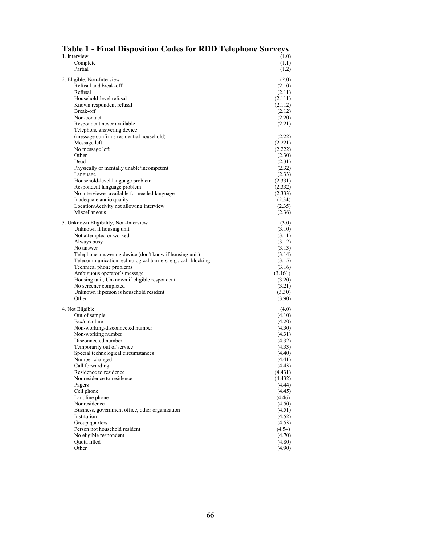| Table 1 - Final Disposition Codes for RDD Telephone Surveys                                                              |                   |  |  |
|--------------------------------------------------------------------------------------------------------------------------|-------------------|--|--|
| 1. Interview                                                                                                             | (1.0)             |  |  |
| Complete                                                                                                                 | (1.1)             |  |  |
| Partial                                                                                                                  | (1.2)             |  |  |
| 2. Eligible, Non-Interview                                                                                               | (2.0)             |  |  |
| Refusal and break-off                                                                                                    | (2.10)            |  |  |
| Refusal                                                                                                                  | (2.11)            |  |  |
| Household-level refusal                                                                                                  | (2.111)           |  |  |
| Known respondent refusal                                                                                                 | (2.112)           |  |  |
| Break-off<br>Non-contact                                                                                                 | (2.12)            |  |  |
| Respondent never available                                                                                               | (2.20)<br>(2.21)  |  |  |
| Telephone answering device                                                                                               |                   |  |  |
| (message confirms residential household)                                                                                 | (2.22)            |  |  |
| Message left                                                                                                             | (2.221)           |  |  |
| No message left                                                                                                          | (2.222)           |  |  |
| Other                                                                                                                    | (2.30)            |  |  |
| Dead                                                                                                                     | (2.31)            |  |  |
| Physically or mentally unable/incompetent                                                                                | (2.32)            |  |  |
| Language<br>Household-level language problem                                                                             | (2.33)<br>(2.331) |  |  |
| Respondent language problem                                                                                              | (2.332)           |  |  |
| No interviewer available for needed language                                                                             | (2.333)           |  |  |
| Inadequate audio quality                                                                                                 | (2.34)            |  |  |
| Location/Activity not allowing interview                                                                                 | (2.35)            |  |  |
| Miscellaneous                                                                                                            | (2.36)            |  |  |
| 3. Unknown Eligibility, Non-Interview                                                                                    | (3.0)             |  |  |
| Unknown if housing unit                                                                                                  | (3.10)            |  |  |
| Not attempted or worked                                                                                                  | (3.11)            |  |  |
| Always busy                                                                                                              | (3.12)            |  |  |
| No answer                                                                                                                | (3.13)            |  |  |
| Telephone answering device (don't know if housing unit)<br>Telecommunication technological barriers, e.g., call-blocking | (3.14)            |  |  |
| Technical phone problems                                                                                                 | (3.15)<br>(3.16)  |  |  |
| Ambiguous operator's message                                                                                             | (3.161)           |  |  |
| Housing unit, Unknown if eligible respondent                                                                             | (3.20)            |  |  |
| No screener completed                                                                                                    | (3.21)            |  |  |
| Unknown if person is household resident                                                                                  | (3.30)            |  |  |
| Other                                                                                                                    | (3.90)            |  |  |
| 4. Not Eligible                                                                                                          | (4.0)             |  |  |
| Out of sample                                                                                                            | (4.10)            |  |  |
| Fax/data line                                                                                                            | (4.20)            |  |  |
| Non-working/disconnected number                                                                                          | (4.30)            |  |  |
| Non-working number<br>Disconnected number                                                                                | (4.31)<br>(4.32)  |  |  |
| Temporarily out of service                                                                                               | (4.33)            |  |  |
| Special technological circumstances                                                                                      | (4.40)            |  |  |
| Number changed                                                                                                           | (4.41)            |  |  |
| Call forwarding                                                                                                          | (4.43)            |  |  |
| Residence to residence                                                                                                   | (4.431)           |  |  |
| Nonresidence to residence                                                                                                | (4.432)           |  |  |
| Pagers                                                                                                                   | (4.44)            |  |  |
| Cell phone<br>Landline phone                                                                                             | (4.45)<br>(4.46)  |  |  |
| Nonresidence                                                                                                             | (4.50)            |  |  |
| Business, government office, other organization                                                                          | (4.51)            |  |  |
| Institution                                                                                                              | (4.52)            |  |  |
| Group quarters                                                                                                           | (4.53)            |  |  |
| Person not household resident                                                                                            | (4.54)            |  |  |
| No eligible respondent                                                                                                   | (4.70)            |  |  |
| Quota filled<br>Other                                                                                                    | (4.80)<br>(4.90)  |  |  |
|                                                                                                                          |                   |  |  |

#### **Table 1 - Final Disposition Codes for RDD Telephone Surveys**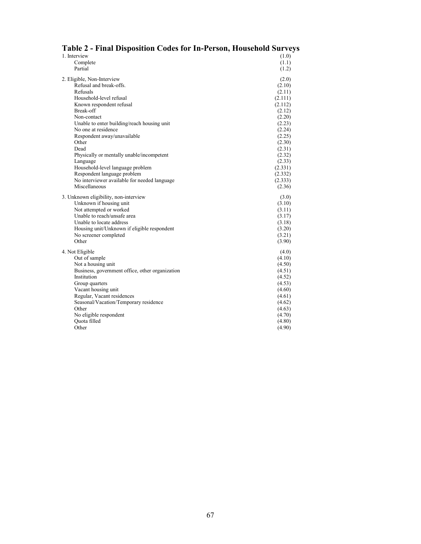| Tabit 2 - Final Disposition Couts for Th-I tribully Housthold Burveys |                   |
|-----------------------------------------------------------------------|-------------------|
| 1. Interview                                                          | (1.0)             |
| Complete                                                              | (1.1)             |
| Partial                                                               | (1.2)             |
| 2. Eligible, Non-Interview                                            | (2.0)             |
| Refusal and break-offs.                                               | (2.10)            |
| Refusals                                                              |                   |
| Household-level refusal                                               | (2.11)<br>(2.111) |
|                                                                       | (2.112)           |
| Known respondent refusal<br>Break-off                                 | (2.12)            |
| Non-contact                                                           | (2.20)            |
| Unable to enter building/reach housing unit                           | (2.23)            |
| No one at residence                                                   | (2.24)            |
| Respondent away/unavailable                                           | (2.25)            |
| Other                                                                 | (2.30)            |
| Dead                                                                  | (2.31)            |
| Physically or mentally unable/incompetent                             | (2.32)            |
| Language                                                              | (2.33)            |
| Household-level language problem                                      | (2.331)           |
| Respondent language problem                                           | (2.332)           |
| No interviewer available for needed language                          | (2.333)           |
| Miscellaneous                                                         | (2.36)            |
| 3. Unknown eligibility, non-interview                                 | (3.0)             |
| Unknown if housing unit                                               | (3.10)            |
| Not attempted or worked                                               | (3.11)            |
| Unable to reach/unsafe area                                           | (3.17)            |
| Unable to locate address                                              | (3.18)            |
| Housing unit/Unknown if eligible respondent                           | (3.20)            |
| No screener completed                                                 | (3.21)            |
| Other                                                                 | (3.90)            |
| 4. Not Eligible                                                       | (4.0)             |
| Out of sample                                                         | (4.10)            |
| Not a housing unit                                                    | (4.50)            |
| Business, government office, other organization                       | (4.51)            |
| Institution                                                           | (4.52)            |
| Group quarters                                                        | (4.53)            |
| Vacant housing unit                                                   | (4.60)            |
| Regular, Vacant residences                                            | (4.61)            |
| Seasonal/Vacation/Temporary residence                                 | (4.62)            |
| Other                                                                 | (4.63)            |
| No eligible respondent                                                | (4.70)            |
| Ouota filled                                                          | (4.80)            |
| Other                                                                 | (4.90)            |

### **Table 2 - Final Disposition Codes for In-Person, Household Surveys**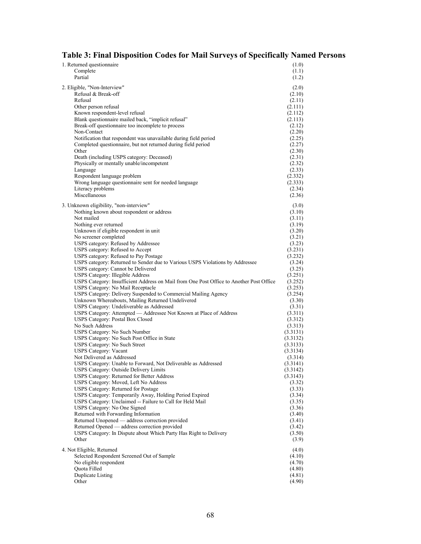#### **Table 3: Final Disposition Codes for Mail Surveys of Specifically Named Persons**

| 1. Returned questionnaire                                                               | (1.0)               |
|-----------------------------------------------------------------------------------------|---------------------|
| Complete                                                                                | (1.1)               |
| Partial                                                                                 | (1.2)               |
| 2. Eligible, "Non-Interview"                                                            | (2.0)               |
| Refusal & Break-off                                                                     | (2.10)              |
| Refusal                                                                                 | (2.11)              |
| Other person refusal                                                                    | (2.111)             |
| Known respondent-level refusal                                                          | (2.112)             |
| Blank questionnaire mailed back, "implicit refusal"                                     | (2.113)             |
| Break-off questionnaire too incomplete to process                                       | (2.12)              |
| Non-Contact                                                                             | (2.20)              |
| Notification that respondent was unavailable during field period                        | (2.25)              |
| Completed questionnaire, but not returned during field period                           | (2.27)              |
| Other                                                                                   | (2.30)              |
| Death (including USPS category: Deceased)                                               | (2.31)              |
| Physically or mentally unable/incompetent                                               | (2.32)              |
| Language                                                                                | (2.33)              |
| Respondent language problem                                                             | (2.332)             |
| Wrong language questionnaire sent for needed language                                   | (2.333)             |
| Literacy problems                                                                       | (2.34)              |
| Miscellaneous                                                                           | (2.36)              |
| 3. Unknown eligibility, "non-interview"                                                 |                     |
| Nothing known about respondent or address                                               | (3.0)<br>(3.10)     |
| Not mailed                                                                              | (3.11)              |
| Nothing ever returned                                                                   | (3.19)              |
| Unknown if eligible respondent in unit                                                  | (3.20)              |
| No screener completed                                                                   | (3.21)              |
| USPS category: Refused by Addressee                                                     | (3.23)              |
| USPS category: Refused to Accept                                                        | (3.231)             |
| USPS category: Refused to Pay Postage                                                   | (3.232)             |
| USPS category: Returned to Sender due to Various USPS Violations by Addressee           | (3.24)              |
| USPS category: Cannot be Delivered                                                      | (3.25)              |
| USPS Category: Illegible Address                                                        | (3.251)             |
| USPS Category: Insufficient Address on Mail from One Post Office to Another Post Office | (3.252)             |
| USPS Category: No Mail Receptacle                                                       | (3.253)             |
| USPS Category: Delivery Suspended to Commercial Mailing Agency                          | (3.254)             |
| Unknown Whereabouts, Mailing Returned Undelivered                                       | (3.30)              |
| USPS Category: Undeliverable as Addressed                                               | (3.31)              |
| USPS Category: Attempted — Addressee Not Known at Place of Address                      | (3.311)             |
| USPS Category: Postal Box Closed                                                        | (3.312)             |
| No Such Address                                                                         | (3.313)             |
| USPS Category: No Such Number                                                           | (3.3131)            |
| USPS Category: No Such Post Office in State                                             | (3.3132)            |
| USPS Category: No Such Street                                                           | (3.3133)            |
| <b>USPS Category: Vacant</b><br>Not Delivered as Addressed                              | (3.3134)<br>(3.314) |
| USPS Category: Unable to Forward, Not Deliverable as Addressed                          | (3.3141)            |
| USPS Category: Outside Delivery Limits                                                  | (3.3142)            |
| USPS Category: Returned for Better Address                                              | (3.3143)            |
| USPS Category: Moved, Left No Address                                                   | (3.32)              |
| USPS Category: Returned for Postage                                                     | (3.33)              |
| USPS Category: Temporarily Away, Holding Period Expired                                 | (3.34)              |
| USPS Category: Unclaimed -- Failure to Call for Held Mail                               | (3.35)              |
| USPS Category: No One Signed                                                            | (3.36)              |
| Returned with Forwarding Information                                                    | (3.40)              |
| Returned Unopened — address correction provided                                         | (3.41)              |
| Returned Opened — address correction provided                                           | (3.42)              |
| USPS Category: In Dispute about Which Party Has Right to Delivery                       | (3.50)              |
| Other                                                                                   | (3.9)               |
| 4. Not Eligible, Returned                                                               |                     |
| Selected Respondent Screened Out of Sample                                              | (4.0)<br>(4.10)     |
| No eligible respondent                                                                  | (4.70)              |
| Quota Filled                                                                            | (4.80)              |
| Duplicate Listing                                                                       | (4.81)              |
| Other                                                                                   | (4.90)              |
|                                                                                         |                     |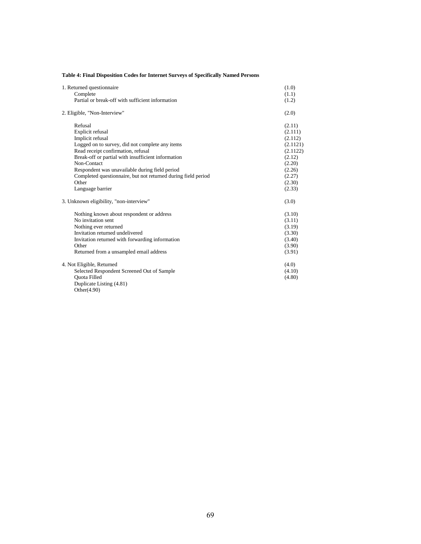| Table 4: Final Disposition Codes for Internet Surveys of Specifically Named Persons |
|-------------------------------------------------------------------------------------|
|-------------------------------------------------------------------------------------|

| 1. Returned questionnaire<br>Complete                                                                                                                                                                                                                                                                                                                         |                                                                                                                  |  |
|---------------------------------------------------------------------------------------------------------------------------------------------------------------------------------------------------------------------------------------------------------------------------------------------------------------------------------------------------------------|------------------------------------------------------------------------------------------------------------------|--|
| Partial or break-off with sufficient information                                                                                                                                                                                                                                                                                                              | (1.1)<br>(1.2)                                                                                                   |  |
| 2. Eligible, "Non-Interview"                                                                                                                                                                                                                                                                                                                                  | (2.0)                                                                                                            |  |
| Refusal<br>Explicit refusal<br>Implicit refusal<br>Logged on to survey, did not complete any items<br>Read receipt confirmation, refusal<br>Break-off or partial with insufficient information<br>Non-Contact<br>Respondent was unavailable during field period<br>Completed questionnaire, but not returned during field period<br>Other<br>Language barrier | (2.11)<br>(2.111)<br>(2.112)<br>(2.1121)<br>(2.1122)<br>(2.12)<br>(2.20)<br>(2.26)<br>(2.27)<br>(2.30)<br>(2.33) |  |
| 3. Unknown eligibility, "non-interview"                                                                                                                                                                                                                                                                                                                       |                                                                                                                  |  |
| Nothing known about respondent or address<br>No invitation sent<br>Nothing ever returned<br>Invitation returned undelivered<br>Invitation returned with forwarding information<br>Other<br>Returned from a unsampled email address                                                                                                                            | (3.10)<br>(3.11)<br>(3.19)<br>(3.30)<br>(3.40)<br>(3.90)<br>(3.91)                                               |  |
| 4. Not Eligible, Returned<br>Selected Respondent Screened Out of Sample<br><b>Ouota Filled</b><br>Duplicate Listing (4.81)<br>Other $(4.90)$                                                                                                                                                                                                                  | (4.0)<br>(4.10)<br>(4.80)                                                                                        |  |